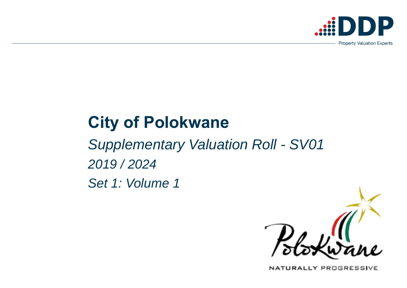# **City of Polokwane**

*Supplementary Valuation Roll - SV01 2019 / 2024 Set 1: Volume 1*



NATURALLY PROGRESSIVE



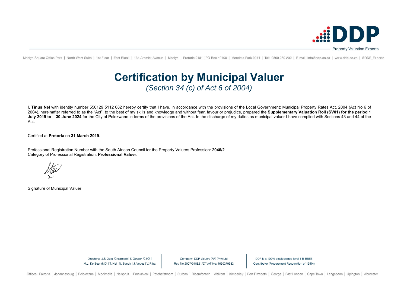I, **Tinus Nel** with identity number 550129 5112 082 hereby certify that I have, in accordance with the provisions of the Local Government: Municipal Property Rates Act, 2004 (Act No 6 of 2004), hereinafter referred to as the "Act", to the best of my skills and knowledge and without fear, favour or prejudice, prepared the **Supplementary Valuation Roll (SV01) for the period 1**  July 2019 to 30 June 2024 for the City of Polokwane in terms of the provisions of the Act. In the discharge of my duties as municipal valuer I have complied with Sections 43 and 44 of the Act.

Certified at **Pretoria** on **31 March 2019**.

Professional Registration Number with the South African Council for the Property Valuers Profession: **2046/2** Category of Professional Registration: **Professional Valuer**.

\_\_\_\_\_\_\_\_\_\_\_\_\_\_\_\_\_\_\_\_\_\_\_ Signature of Municipal Valuer

Company: DDP Valuers (RF) (Pty) Ltd Reg No 2007/018821/07 VAT No: 4650270582

DDP is a 100% black owned level 1 B-BBEE Contributor (Procurement Recognition of 135%)



Menlyn Square Office Park | North West Suite | 1st Floor | East Block | 134 Aramist Avenue | Menlyn | Pretoria 0181 | PO Box 40408 | Moreleta Park 0044 | Tel: 0800 060 200 | E-mail: info@ddp.co.za | www.ddp.co.za | @DDP Ex

# **Certification by Municipal Valuer**  *(Section 34 (c) of Act 6 of 2004)*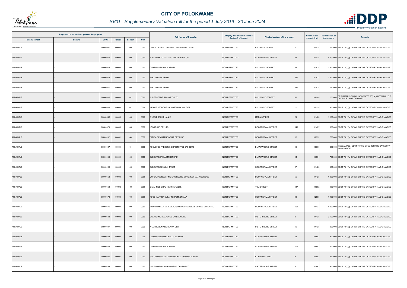| Registered or other description of the property |                  |         |                |      | <b>Full Names of Owner(s)</b>                         | Category determined in terms of | Physical address of the property         | <b>Extent of the</b> | <b>Market value of</b><br><b>Remarks</b>                                           |
|-------------------------------------------------|------------------|---------|----------------|------|-------------------------------------------------------|---------------------------------|------------------------------------------|----------------------|------------------------------------------------------------------------------------|
| <b>Town Allotment</b>                           | Suburb<br>Erf Nr | Portion | <b>Section</b> | Unit |                                                       | <b>Section 8 of the Act</b>     |                                          | property (HA)        | the property                                                                       |
| ANNADALE                                        | 00000001         | 00000   | $00\,$         | 0000 | LEBEA THORISO GEORGE LEBEA MAITE CANNY                | <b>NON PERMITTED</b>            | <b>BULUWAYO STREET</b><br>$\overline{1}$ | 0.1428               | 650 000 SECT 78(1)(g) OF WHICH THE CATEGORY HAS CHANGED                            |
| ANNADALE                                        | 00000012         | 00000   | $00\,$         | 0000 | KGOLAGANYO TRADING ENTERPRISE CC                      | <b>NON PERMITTED</b>            | <b>BLAAUWBERG STREET</b><br>21           | 0.1428               | 1 200 000 SECT 78(1)(g) OF WHICH THE CATEGORY HAS CHANGED                          |
| ANNADALE                                        | 00000016         | 00000   | $00\,$         | 0000 | OLDEWAGE FAMILY TRUST                                 | <b>NON PERMITTED</b>            | 31<br><b>BULUWAYO STREET</b>             | 0.1428               | 1 500 000 SECT 78(1)(g) OF WHICH THE CATEGORY HAS CHANGED                          |
| ANNADALE                                        | 00000016         | 00001   | $00\,$         | 0000 | <b>GIEL JANSEN TRUST</b>                              | <b>NON PERMITTED</b>            | <b>BULUWAYO STREET</b><br>31A            | 0.1427               | 1 800 000 SECT 78(1)(g) OF WHICH THE CATEGORY HAS CHANGED                          |
| ANNADALE                                        | 00000017         | 00000   | $00\,$         | 0000 | <b>GIEL JANSEN TRUST</b>                              | <b>NON PERMITTED</b>            | 33A<br><b>BULUWAYO STREET</b>            | 0.1428               | 740 000 SECT 78(1)(g) OF WHICH THE CATEGORY HAS CHANGED                            |
| ANNADALE                                        | 00000035         | 00000   | 01             | 0000 | UPERSTRIKE INV 69 PTY LTD                             | <b>NON PERMITTED</b>            | <b>BULUWAYO STREET</b><br>69             | 0.0200               | 200 000 BRICK MAKING MACHINES / SECT 78(1)(g) OF WHICH THE<br>CATEGORY HAS CHANGED |
| ANNADALE                                        | 00000039         | 00000   | 01             | 0000 | MERWE PETRONELLA MARTHINA VAN DER                     | <b>NON PERMITTED</b>            | 77<br><b>BULUWAYO STREET</b>             | 0.0728               | 400 000 SECT 78(1)(g) OF WHICH THE CATEGORY HAS CHANGED                            |
| ANNADALE                                        | 00000048         | 00000   | $00\,$         | 0000 | <b>ENGELBRECHT LIANIE</b>                             | <b>NON PERMITTED</b>            | 21<br><b>MARA STREET</b>                 | 0.1428               | 1 100 000 SECT 78(1)(g) OF WHICH THE CATEGORY HAS CHANGED                          |
| ANNADALE                                        | 00000079         | 00000   | $00\,$         | 0000 | 17 WITKLIP PTY LTD                                    | <b>NON PERMITTED</b>            | 34A<br>DOORNKRAAL STREET                 | 0.1427               | 800 000 SECT 78(1)(g) OF WHICH THE CATEGORY HAS CHANGED                            |
| ANNADALE                                        | 00000132         | 00001   | $00\,$         | 0000 | TATIRA BENJAMIN TATIRA GETRUDE                        | <b>NON PERMITTED</b>            | 13<br>DOORNKRAAL STREET                  | 0.0952               | 770 000 SECT 78(1)(g) OF WHICH THE CATEGORY HAS CHANGED                            |
| ANNADALE                                        | 00000137         | 00001   | 01             | 0000 | ROELOFSE FREDERIK CHRISTOFFEL JACOBUS                 | <b>NON PERMITTED</b>            | <b>BLAAUWBERG STREET</b><br>15           | 0.0600               | ILLEGAL USE / SECT 78(1)(g) OF WHICH THE CATEGORY<br>250 000 HAS CHANGED           |
| ANNADALE                                        | 00000138         | 00000   | $00\,$         | 0000 | OLDEWAGE WILLEM HENDRIK                               | <b>NON PERMITTED</b>            | <b>BLAAUWBERG STREET</b><br>14           | 0.0951               | 700 000 SECT 78(1)(g) OF WHICH THE CATEGORY HAS CHANGED                            |
| ANNADALE                                        | 00000139         | 00000   | $00\,$         | 0000 | OLDEWAGE FAMILY TRUST                                 | <b>NON PERMITTED</b>            | 27<br>DOORNKRAAL STREET                  | 0.1428               | 900 000 SECT 78(1)(g) OF WHICH THE CATEGORY HAS CHANGED                            |
| ANNADALE                                        | 00000153         | 00000   | $00\,$         | 0000 | MORULA CONSULTING ENGINEERS & PROJECT MANAGERS CC     | <b>NON PERMITTED</b>            | DOORNKRAAL STREET<br>55                  | 0.1428               | 1 000 000 SECT 78(1)(g) OF WHICH THE CATEGORY HAS CHANGED                          |
| ANNADALE                                        | 00000168         | 00002   | 00             | 0000 | DHAU INOS DHAU HEATHERWELL                            | <b>NON PERMITTED</b>            | <b>TULI STREET</b><br>14A                | 0.0952               | 950 000 SECT 78(1)(g) OF WHICH THE CATEGORY HAS CHANGED                            |
| ANNADALE                                        | 00000172         | 00000   | $00\,$         | 0000 | ROOS MARTHA SUSANNA PETRONELLA                        | <b>NON PERMITTED</b>            | 93<br>DOORNKRAAL STREET                  | 0.2855               | 1 400 000 SECT 78(1)(g) OF WHICH THE CATEGORY HAS CHANGED                          |
| ANNADALE                                        | 00000176         | 00000   | 00             | 0000 | RAMAPHAKELA MARIA KAGISO RAMAPHAKELA BETHUEL MOTLATSO | <b>NON PERMITTED</b>            | 101<br>DOORNKRAAL STREET                 | 0.1427               | 1 200 000 SECT 78(1)(g) OF WHICH THE CATEGORY HAS CHANGED                          |
| ANNADALE                                        | 00000193         | 00000   | $00\,$         | 0000 | MALATJI MOTLALAOHLE GWENDOLINE                        | <b>NON PERMITTED</b>            | PIETERSBURG STREET<br>8                  | 0.1428               | 2 100 000 SECT 78(1)(g) OF WHICH THE CATEGORY HAS CHANGED                          |
| ANNADALE                                        | 00000197         | 00001   | 00             | 0000 | WESTHUIZEN ANDRE VAN DER                              | <b>NON PERMITTED</b>            | 16<br>PIETERSBURG STREET                 | 0.1428               | 800 000 SECT 78(1)(g) OF WHICH THE CATEGORY HAS CHANGED                            |
| ANNADALE                                        | 00000202         | 00000   | $00\,$         | 0000 | OLDEWAGE PETRONELLA MARTINA                           | <b>NON PERMITTED</b>            | <b>BLAAUWBERG STREET</b><br>12           | 0.0952               | 900 000 SECT 78(1)(g) OF WHICH THE CATEGORY HAS CHANGED                            |
| ANNADALE                                        | 00000202         | 00002   | 00             | 0000 | OLDEWAGE FAMILY TRUST                                 | <b>NON PERMITTED</b>            | 10A<br><b>BLAAUWBERG STREET</b>          | 0.0952               | 800 000 SECT 78(1)(g) OF WHICH THE CATEGORY HAS CHANGED                            |
| ANNADALE                                        | 00000225         | 00001   | $00\,$         | 0000 | GOLOLO PHINIAS LESIBIA GOLOLO MAMPE NORAH             | <b>NON PERMITTED</b>            | <b>KLIPDAM STREET</b><br>-9              | 0.0952               | 950 000 SECT 78(1)(g) OF WHICH THE CATEGORY HAS CHANGED                            |
| ANNADALE                                        | 00000256         | 00000   | $00\,$         | 0000 | DAVID MATLALA PROP DEVELOPMENT CC                     | <b>NON PERMITTED</b>            | PIETERSBURG STREET<br>$\mathbf{3}$       | 0.1463               | 900 000 SECT 78(1)(g) OF WHICH THE CATEGORY HAS CHANGED                            |



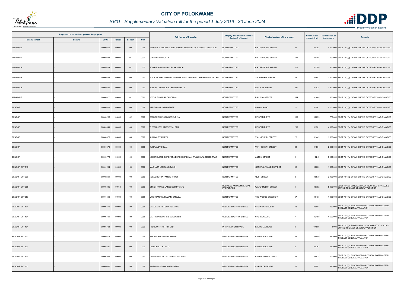

| Registered or other description of the property |        |          |         |                | <b>Full Names of Owner(s)</b> | <b>Category determined in terms of</b>                      | Physical address of the property                    | <b>Extent of the</b>                     | <b>Market value of</b> | <b>Remarks</b> |                                                                                               |
|-------------------------------------------------|--------|----------|---------|----------------|-------------------------------|-------------------------------------------------------------|-----------------------------------------------------|------------------------------------------|------------------------|----------------|-----------------------------------------------------------------------------------------------|
| <b>Town Allotment</b>                           | Suburb | Erf Nr   | Portion | <b>Section</b> | Unit                          |                                                             | <b>Section 8 of the Act</b>                         |                                          | property (HA)          | the property   |                                                                                               |
| ANNADALE                                        |        | 00000256 | 00001   | $00\,$         | 0000                          | NEMAVHOLA NDANGANENI ROBERT NEMAVHOLA MAEMU CONSTANCE       | <b>NON PERMITTED</b>                                | PIETERSBURG STREET<br>3A                 | 0.1392                 |                | 1 000 000 SECT 78(1)(g) OF WHICH THE CATEGORY HAS CHANGED                                     |
| ANNADALE                                        |        | 00000280 | 00000   | 01             | 0000                          | <b>COETZEE PRISCILLA</b>                                    | <b>NON PERMITTED</b>                                | PIETERSBURG STREET<br>51A                | 0.0286                 |                | 400 000 SECT 78(1)(g) OF WHICH THE CATEGORY HAS CHANGED                                       |
| ANNADALE                                        |        | 00000305 | 00000   | 01             | 0000                          | FOURIE JOHANNA ELLEN BEATRICE                               | <b>NON PERMITTED</b>                                | 101<br>PIETERSBURG STREET                | 0.1200                 |                | 800 000 SECT 78(1)(g) OF WHICH THE CATEGORY HAS CHANGED                                       |
| ANNADALE                                        |        | 00000333 | 00001   | 00             | 0000                          | WALT JACOBUS DANIEL VAN DER WALT ABRAHAM CHRISTIAAN VAN DER | <b>NON PERMITTED</b>                                | SPOORWEG STREET<br>26                    | 0.0952                 |                | 1 000 000 SECT 78(1)(g) OF WHICH THE CATEGORY HAS CHANGED                                     |
| ANNADALE                                        |        | 00000334 | 00001   | $00\,$         | 0000                          | JUSBEN CONSULTING ENGINEERS CC                              | <b>NON PERMITTED</b>                                | RAILWAY STREET<br>28A                    | 0.1428                 |                | 1 300 000 SECT 78(1)(g) OF WHICH THE CATEGORY HAS CHANGED                                     |
| ANNADALE                                        |        | 00000377 | 00000   | 01             | 0000                          | BOTHA SUSANNA CAROLINA                                      | <b>NON PERMITTED</b>                                | RAILWAY STREET<br>114                    | 0.1440                 |                | 600 000 SECT 78(1)(g) OF WHICH THE CATEGORY HAS CHANGED                                       |
| <b>BENDOR</b>                                   |        | 00000086 | 00000   | $00\,$         | 0000                          | STEENKAMP JAN HARMSE                                        | <b>NON PERMITTED</b>                                | 20<br><b>BRAAM ROAD</b>                  | 0.2547                 |                | 2 200 000 SECT 78(1)(g) OF WHICH THE CATEGORY HAS CHANGED                                     |
| <b>BENDOR</b>                                   |        | 00000266 | 00000   | 02             | 0000                          | BENADE FRANSINA BERENDINA                                   | <b>NON PERMITTED</b>                                | 183<br>UITSPAN DRIVE                     | 0.0835                 |                | 770 000 SECT 78(1)(g) OF WHICH THE CATEGORY HAS CHANGED                                       |
| <b>BENDOR</b>                                   |        | 00000343 | 00000   | $00\,$         | 0000                          | WESTHUIZEN ANDRE VAN DER                                    | <b>NON PERMITTED</b>                                | 205<br><b>UITSPAN DRIVE</b>              | 0.1961                 |                | 4 300 000 SECT 78(1)(g) OF WHICH THE CATEGORY HAS CHANGED                                     |
| <b>BENDOR</b>                                   |        | 00000378 | 00000   | $00\,$         | 0000                          | KURAWLEY ARIEFA                                             | <b>NON PERMITTED</b>                                | VAN NIEKERK STREET<br>26                 | 0.1449                 |                | 1 600 000 SECT 78(1)(g) OF WHICH THE CATEGORY HAS CHANGED                                     |
| <b>BENDOR</b>                                   |        | 00000379 | 00000   | $00\,$         | 0000                          | KURAWLEY OSMAN                                              | <b>NON PERMITTED</b>                                | <b>VAN NIEKERK STREET</b><br>28          | 0.1861                 |                | 2 300 000 SECT 78(1)(g) OF WHICH THE CATEGORY HAS CHANGED                                     |
| <b>BENDOR</b>                                   |        | 00000776 | 00000   | 00             | 0000                          | NEDERDUITSE GEREFORMEERDE KERK VAN TRANSVAAL-BENDORPARK     | <b>NON PERMITTED</b>                                | <b>ANTON STREET</b><br>6                 | 1.0243                 |                | 6 900 000 SECT 78(1)(g) OF WHICH THE CATEGORY HAS CHANGED                                     |
| <b>BENDOR EXT 010</b>                           |        | 00001204 | 00000   | $00\,$         | 0000                          | MACHABA LESIBA LODWICH                                      | <b>NON PERMITTED</b>                                | <b>GENERAL MULLER STREET</b><br>95       | 0.0606                 |                | 1 800 000 SECT 78(1)(g) OF WHICH THE CATEGORY HAS CHANGED                                     |
| BENDOR EXT 030                                  |        | 00002894 | 00000   | $00\,$         | 0000                          | NEELS BOTHA FAMILIE TRUST                                   | <b>NON PERMITTED</b>                                | <b>QUIN STREET</b><br>$\overline{2}$     | 0.0879                 |                | 2 400 000 SECT 78(1)(g) OF WHICH THE CATEGORY HAS CHANGED                                     |
| <b>BENDOR EXT 068</b>                           |        | 00005085 | 00018   | $00\,$         | 0000                          | STROH FAMILIE LANDGOED PTY LTD                              | <b>BUSINESS AND COMMERCIAL</b><br><b>PROPERTIES</b> | <b>WATERMELON STREET</b><br>$\mathbf{1}$ | 0.0792                 |                | SECT 78(1)(e) SUBSTANTIALLY INCORRECTLY VALUED<br>5 900 000 DURING THE LAST GENERAL VALUATION |
| BENDOR EXT 087                                  |        | 00004399 | 00000   | 00             | 0000                          | MOSHOANA LIVHUWANI EMELDA                                   | <b>NON PERMITTED</b>                                | 57<br>THE WOODS CRESCENT                 | 0.0435                 |                | 1 900 000 SECT 78(1)(g) OF WHICH THE CATEGORY HAS CHANGED                                     |
| <b>BENDOR EXT 101</b>                           |        | 00005679 | 00000   | $00\,$         | 0000                          | MALOBANE PETUNIA TSAKANE                                    | <b>RESIDENTIAL PROPERTIES</b>                       | <b>CROWN CRESCENT</b><br>41              | 0.0604                 |                | 450 000 SECT 78(1)(c) SUBDIVIDED OR CONSOLIDATED AFTER<br>THE LAST GENERAL VALUATION          |
| BENDOR EXT 101                                  |        | 00005701 | 00000   | $00\,$         | 0000                          | <b>MATHABATHA CHRIS MABONTSHI</b>                           | <b>RESIDENTIAL PROPERTIES</b>                       | CASTLE CLOSE<br>$\overline{7}$           | 0.2489                 |                | 1 600 000 SECT 78(1)(c) SUBDIVIDED OR CONSOLIDATED AFTER<br>THE LAST GENERAL VALUATION        |
| <b>BENDOR EXT 101</b>                           |        | 00005722 | 00000   | $00\,$         | 0000                          | YSOCON PROP PTY LTD                                         | PRIVATE OPEN SPACE                                  | <b>BALMORAL ROAD</b><br>$\overline{2}$   | 0.1560                 |                | 1 000 SECT 78(1)(e) SUBSTANTIALLY INCORRECTLY VALUED<br>DURING THE LAST GENERAL VALUATION     |
| BENDOR EXT 101                                  |        | 00005878 | 00000   | 00             | 0000                          | KEKANA MADIMETJA SYDNEY                                     | <b>RESIDENTIAL PROPERTIES</b>                       | 31<br>CATHEDRAL LANE                     | 0.0500                 |                | 380 000 SECT 78(1)(c) SUBDIVIDED OR CONSOLIDATED AFTER<br>THE LAST GENERAL VALUATION          |
| <b>BENDOR EXT 101</b>                           |        | 00005891 | 00000   | $00\,$         | 0000                          | <b>TELGOPROX PTY LTD</b>                                    | <b>RESIDENTIAL PROPERTIES</b>                       | <b>CATHEDRAL LANE</b><br>5               | 0.0767                 |                | 580 000 SECT 78(1)(c) SUBDIVIDED OR CONSOLIDATED AFTER<br>THE LAST GENERAL VALUATION          |
| BENDOR EXT 101                                  |        | 00005932 | 00000   | $00\,$         | 0000                          | MUZHAMBI KHATHUTSHELO SHARPAD                               | <b>RESIDENTIAL PROPERTIES</b>                       | <b>BUSHWILLOW STREET</b><br>23           | 0.0534                 |                | 400 000 SECT 78(1)(c) SUBDIVIDED OR CONSOLIDATED AFTER<br>THE LAST GENERAL VALUATION          |
| BENDOR EXT 101                                  |        | 00005960 | 00000   | $00\,$         | 0000                          | PHIRI ANASTINAH MATHAPELO                                   | <b>RESIDENTIAL PROPERTIES</b>                       | AMBER CRESCENT<br>15                     | 0.0507                 |                | 380 000 SECT 78(1)(c) SUBDIVIDED OR CONSOLIDATED AFTER<br>THE LAST GENERAL VALUATION          |

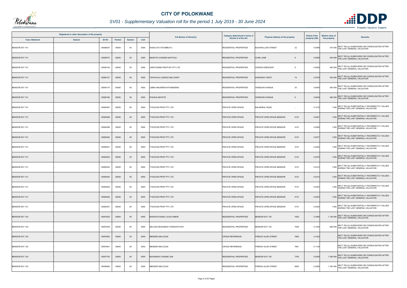

# *SV01 - Supplementary Valuation roll for the period 1 July 2019 - 30 June 2024*

| Registered or other description of the property |               |          |                |                | Category determined in terms of |                                   | <b>Extent of the</b>          | <b>Market value of</b>                           |               |              |                                                                                           |
|-------------------------------------------------|---------------|----------|----------------|----------------|---------------------------------|-----------------------------------|-------------------------------|--------------------------------------------------|---------------|--------------|-------------------------------------------------------------------------------------------|
| <b>Town Allotment</b>                           | <b>Suburb</b> | Erf Nr   | <b>Portion</b> | <b>Section</b> | Unit                            | <b>Full Names of Owner(s)</b>     | Section 8 of the Act          | Physical address of the property                 | property (HA) | the property | <b>Remarks</b>                                                                            |
| <b>BENDOR EXT 101</b>                           |               | 00006027 | 00000          | $00\,$         | 0000                            | VASILOTA YETAMBUYU                | <b>RESIDENTIAL PROPERTIES</b> | 32<br><b>BUSHWILLOW STREET</b>                   | 0.0498        |              | SECT 78(1)(c) SUBDIVIDED OR CONSOLIDATED AFTER<br>370 000 THE LAST GENERAL VALUATION      |
| <b>BENDOR EXT 101</b>                           |               | 00006073 | 00000          | $00\,$         | 0000                            | MASHITA CHOENE NAPHTALI           | <b>RESIDENTIAL PROPERTIES</b> | <b>DUKE LANE</b><br>8                            | 0.0596        |              | 450 000 SECT 78(1)(c) SUBDIVIDED OR CONSOLIDATED AFTER<br>THE LAST GENERAL VALUATION      |
| BENDOR EXT 101                                  |               | 00006100 | 00000          | $00\,$         | 0000                            | <b>ERATADIMA PROP INV PTY LTD</b> | RESIDENTIAL PROPERTIES        | <b>CROWN CRESCENT</b><br>8                       | 0.0595        |              | 450 000 SECT 78(1)(c) SUBDIVIDED OR CONSOLIDATED AFTER<br>THE LAST GENERAL VALUATION      |
| <b>BENDOR EXT 101</b>                           |               | 00006127 | 00000          | $00\,$         | 0000                            | <b>TSHIVHULA LESEGO MILLICENT</b> | <b>RESIDENTIAL PROPERTIES</b> | 74<br><b>KINGSWAY WEST</b>                       | 0.0705        |              | SECT 78(1)(c) SUBDIVIDED OR CONSOLIDATED AFTER<br>530 000 THE LAST GENERAL VALUATION      |
| BENDOR EXT 101                                  |               | 00006174 | 00000          | $00\,$         | 0000                            | LEBEA MAUREEN NTHABISENG          | <b>RESIDENTIAL PROPERTIES</b> | <b>WINDSOR AVENUE</b><br>30                      | 0.0600        |              | 450 000 SECT 78(1)(c) SUBDIVIDED OR CONSOLIDATED AFTER<br>THE LAST GENERAL VALUATION      |
| <b>BENDOR EXT 101</b>                           |               | 00006185 | 00000          | $00\,$         | 0000                            | PHASHA MATETE                     | <b>RESIDENTIAL PROPERTIES</b> | <b>WINDSOR AVENUE</b>                            | 0.0640        |              | 480 000 SECT 78(1)(c) SUBDIVIDED OR CONSOLIDATED AFTER<br>THE LAST GENERAL VALUATION      |
| BENDOR EXT 101                                  |               | 00006297 | 00000          | 00             | 0000                            | YSOCON PROP PTY LTD               | PRIVATE OPEN SPACE            | <b>BALMORAL ROAD</b><br>$\overline{\phantom{a}}$ | 0.1018        |              | SECT 78(1)(e) SUBSTANTIALLY INCORRECTLY VALUED<br>1 000 DURING THE LAST GENERAL VALUATION |
| <b>BENDOR EXT 101</b>                           |               | 00006298 | 00000          | $00\,$         | 0000                            | <b>YSOCON PROP PTY LTD</b>        | PRIVATE OPEN SPACE            | PRIVATE OPEN SPACE BENDOR<br>X101                | 0.0291        |              | 1 000 SECT 78(1)(e) SUBSTANTIALLY INCORRECTLY VALUED<br>DURING THE LAST GENERAL VALUATION |
| BENDOR EXT 101                                  |               | 00006299 | 00000          | $00\,$         | 0000                            | <b>TYSOCON PROP PTY LTD</b>       | PRIVATE OPEN SPACE            | X101<br>PRIVATE OPEN SPACE BENDOR                | 0.0295        |              | 1 000 SECT 78(1)(e) SUBSTANTIALLY INCORRECTLY VALUED<br>DURING THE LAST GENERAL VALUATION |
| <b>BENDOR EXT 101</b>                           |               | 00006300 | 00000          | $00\,$         | 0000                            | YSOCON PROP PTY LTD               | PRIVATE OPEN SPACE            | PRIVATE OPEN SPACE BENDOR<br>X101                | 0.0277        |              | 1 000 SECT 78(1)(e) SUBSTANTIALLY INCORRECTLY VALUED<br>DURING THE LAST GENERAL VALUATION |
| BENDOR EXT 101                                  |               | 00006301 | 00000          | $00\,$         | 0000                            | <b>TYSOCON PROP PTY LTD</b>       | PRIVATE OPEN SPACE            | X101<br>PRIVATE OPEN SPACE BENDOR                | 0.0254        |              | 1 000 SECT 78(1)(e) SUBSTANTIALLY INCORRECTLY VALUED<br>DURING THE LAST GENERAL VALUATION |
| <b>BENDOR EXT 101</b>                           |               | 00006302 | 00000          | $00\,$         | 0000                            | <b>TYSOCON PROP PTY LTD</b>       | PRIVATE OPEN SPACE            | PRIVATE OPEN SPACE BENDOR<br>X101                | 0.0279        |              | 1 000 SECT 78(1)(e) SUBSTANTIALLY INCORRECTLY VALUED<br>DURING THE LAST GENERAL VALUATION |
| BENDOR EXT 101                                  |               | 00006303 | 00000          | 00             | 0000                            | YSOCON PROP PTY LTD               | PRIVATE OPEN SPACE            | PRIVATE OPEN SPACE BENDOR<br>X101                | 0.0310        |              | 1 000 SECT 78(1)(e) SUBSTANTIALLY INCORRECTLY VALUED<br>DURING THE LAST GENERAL VALUATION |
| <b>BENDOR EXT 101</b>                           |               | 00006304 | 00000          | $00\,$         | 0000                            | <b>TYSOCON PROP PTY LTD</b>       | <b>PRIVATE OPEN SPACE</b>     | PRIVATE OPEN SPACE BENDOR<br>X101                | 0.0310        |              | 1 000 SECT 78(1)(e) SUBSTANTIALLY INCORRECTLY VALUED<br>DURING THE LAST GENERAL VALUATION |
| BENDOR EXT 101                                  |               | 00006305 | 00000          | 00             | 0000                            | <b>TYSOCON PROP PTY LTD</b>       | PRIVATE OPEN SPACE            | PRIVATE OPEN SPACE BENDOR<br>X101                | 0.0253        |              | SECT 78(1)(e) SUBSTANTIALLY INCORRECTLY VALUED<br>1 000 DURING THE LAST GENERAL VALUATION |
| <b>BENDOR EXT 101</b>                           |               | 00006306 | 00000          | $00\,$         | 0000                            | <b>TYSOCON PROP PTY LTD</b>       | PRIVATE OPEN SPACE            | X101<br>PRIVATE OPEN SPACE BENDOR                | 0.0253        |              | 1 000 SECT 78(1)(e) SUBSTANTIALLY INCORRECTLY VALUED<br>DURING THE LAST GENERAL VALUATION |
| BENDOR EXT 101                                  |               | 00006307 | 00000          | 00             | 0000                            | YSOCON PROP PTY LTD               | PRIVATE OPEN SPACE            | PRIVATE OPEN SPACE BENDOR<br>X101                | 0.0336        |              | 1 000 SECT 78(1)(e) SUBSTANTIALLY INCORRECTLY VALUED<br>DURING THE LAST GENERAL VALUATION |
| <b>BENDOR EXT 120</b>                           |               | 00007625 | 00000          | $00\,$         | 0000                            | MOKGOATSANE LUCAS SIMON           | <b>RESIDENTIAL PROPERTIES</b> | BENDOR EXT 120<br>7625                           | 0.1685        |              | 1 100 000 SECT 78(1)(c) SUBDIVIDED OR CONSOLIDATED AFTER<br>THE LAST GENERAL VALUATION    |
| BENDOR EXT 120                                  |               | 00007639 | 00000          | 00             | 0000                            | SELOGA MOGOBADI TSHEGOFATSO       | <b>RESIDENTIAL PROPERTIES</b> | BENDOR EXT 120<br>7639                           | 0.1050        |              | 680 000 SECT 78(1)(c) SUBDIVIDED OR CONSOLIDATED AFTER<br>THE LAST GENERAL VALUATION      |
| <b>BENDOR EXT 120</b>                           |               | 00007660 | 00000          | $00\,$         | 0000                            | <b>MENZIES MALCOLM</b>            | <b>CROSS REFERENCE</b>        | 7660<br><b>FRENCH ALOE STREET</b>                | 0.1422        |              | SECT 78(1)(c) SUBDIVIDED OR CONSOLIDATED AFTER<br>THE LAST GENERAL VALUATION              |
| <b>BENDOR EXT 120</b>                           |               | 00007661 | 00000          | $00\,$         | 0000                            | MENZIES MALCOLM                   | <b>CROSS REFERENCE</b>        | <b>FRENCH ALOE STREET</b><br>7661                | 0.1136        |              | SECT 78(1)(c) SUBDIVIDED OR CONSOLIDATED AFTER<br>THE LAST GENERAL VALUATION              |
| BENDOR EXT 120                                  |               | 00007700 | 00000          | $00\,$         | 0000                            | MOGANWA CHOENE JAN                | <b>RESIDENTIAL PROPERTIES</b> | <b>BENDOR EXT 120</b><br>7700                    | 0.2056        |              | 1 000 000 SECT 78(1)(c) SUBDIVIDED OR CONSOLIDATED AFTER<br>THE LAST GENERAL VALUATION    |
| BENDOR EXT 120                                  |               | 00008560 | 00000          | 00             | 0000                            | MENZIES MALCOLM                   | RESIDENTIAL PROPERTIES        | 8560<br><b>FRENCH ALOE STREET</b>                | 0.2558        |              | SECT 78(1)(c) SUBDIVIDED OR CONSOLIDATED AFTER<br>1700 000 THE LAST GENERAL VALUATION     |



- Property Valuation Experts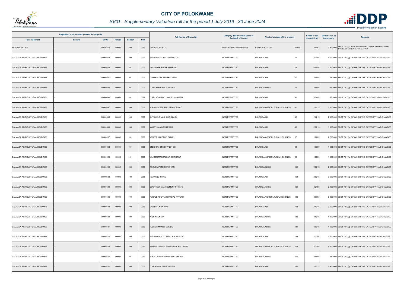

| Registered or other description of the property |        |          |         |                |      | <b>Full Names of Owner(s)</b>    | Category determined in terms of | Physical address of the property     | <b>Extent of the</b> | <b>Market value of</b> | <b>Remarks</b>                                                                         |
|-------------------------------------------------|--------|----------|---------|----------------|------|----------------------------------|---------------------------------|--------------------------------------|----------------------|------------------------|----------------------------------------------------------------------------------------|
| <b>Town Allotment</b>                           | Suburb | Erf Nr   | Portion | <b>Section</b> | Unit |                                  | <b>Section 8 of the Act</b>     |                                      | property (HA)        | the property           |                                                                                        |
| <b>BENDOR EXT 120</b>                           |        | 00026875 | 00000   | $00\,$         | 0000 | DECACEL PTY LTD                  | <b>RESIDENTIAL PROPERTIES</b>   | <b>BENDOR EXT 120</b><br>26875       | 0.446                |                        | 2 900 000 SECT 78(1)(c) SUBDIVIDED OR CONSOLIDATED AFTER<br>THE LAST GENERAL VALUATION |
| DALMADA AGRICULTURAL HOLDINGS                   |        | 00000010 | 00000   | 00             | 0000 | KWENA-MOKONE TRADING CC          | <b>NON PERMITTED</b>            | DALMADA AH<br>10                     | 2.2150               |                        | 1 600 000 SECT 78(1)(g) OF WHICH THE CATEGORY HAS CHANGED                              |
| DALMADA AGRICULTURAL HOLDINGS                   |        | 00000025 | 00000   | 01             | 0000 | MALUMASH ENTERPRISES CC          | <b>NON PERMITTED</b>            | 25<br>DALMADA AH                     | 0.5000               |                        | 1 300 000 SECT 78(1)(g) OF WHICH THE CATEGORY HAS CHANGED                              |
| DALMADA AGRICULTURAL HOLDINGS                   |        | 00000027 | 00000   | 01             | 0000 | OOSTHUIZEN PERSEFONNIE           | <b>NON PERMITTED</b>            | 27<br>DALMADA AH                     | 0.5000               |                        | 780 000 SECT 78(1)(g) OF WHICH THE CATEGORY HAS CHANGED                                |
| DALMADA AGRICULTURAL HOLDINGS                   |        | 00000045 | 00000   | 01             | 0000 | <b>ILADI HEBRONA TUMISHO</b>     | NON PERMITTED                   | DALMADA AH LS<br>45                  | 0.5000               |                        | 650 000 SECT 78(1)(g) OF WHICH THE CATEGORY HAS CHANGED                                |
| DALMADA AGRICULTURAL HOLDINGS                   |        | 00000046 | 00000   | 01             | 0000 | TLADI KGASAGO DIMPHO NGWATO      | <b>NON PERMITTED</b>            | DALMADA AH<br>46                     | 0.5000               |                        | 550 000 SECT 78(1)(g) OF WHICH THE CATEGORY HAS CHANGED                                |
| DALMADA AGRICULTURAL HOLDINGS                   |        | 00000047 | 00000   | $00\,$         | 0000 | KOPANO CATERING SERVICES CC      | <b>NON PERMITTED</b>            | DALMADA AGRICULTURAL HOLDINGS 47     | 2.0215               |                        | 3 000 000 SECT 78(1)(g) OF WHICH THE CATEGORY HAS CHANGED                              |
| DALMADA AGRICULTURAL HOLDINGS                   |        | 00000048 | 00000   | $00\,$         | 0000 | KUTUMELA MASHOKO MAUD            | <b>NON PERMITTED</b>            | 48<br>DALMADA AH                     | 2.021                |                        | 2 300 000 SECT 78(1)(g) OF WHICH THE CATEGORY HAS CHANGED                              |
| DALMADA AGRICULTURAL HOLDINGS                   |        | 00000049 | 00000   | $00\,$         | 0000 | MABOTJA JAMES LESIBA             | NON PERMITTED                   | DALMADA AH<br>49                     | 2.0215               |                        | 1 600 000 SECT 78(1)(g) OF WHICH THE CATEGORY HAS CHANGED                              |
| DALMADA AGRICULTURAL HOLDINGS                   |        | 00000057 | 00000   | 01             | 0000 | VENTER JACOBUS DANIEL            | <b>NON PERMITTED</b>            | DALMADA AGRICULTURAL HOLDINGS<br>57  | 1.0000               |                        | 2 700 000 SECT 78(1)(g) OF WHICH THE CATEGORY HAS CHANGED                              |
| DALMADA AGRICULTURAL HOLDINGS                   |        | 00000068 | 00000   | 01             | 0000 | TERNITY STAR INV 231 CC          | NON PERMITTED                   | DALMADA AH<br>68                     | 1.0000               |                        | 1 600 000 SECT 78(1)(g) OF WHICH THE CATEGORY HAS CHANGED                              |
| DALMADA AGRICULTURAL HOLDINGS                   |        | 00000080 | 00000   | 01             | 0000 | VILJOEN MAGDALENA CHRISTINA      | <b>NON PERMITTED</b>            | DALMADA AGRICULTURAL HOLDINGS 80     | 1.0000               |                        | 1 300 000 SECT 78(1)(g) OF WHICH THE CATEGORY HAS CHANGED                              |
| DALMADA AGRICULTURAL HOLDINGS                   |        | 00000106 | 00000   | $00\,$         | 0000 | ROOYEN PETER ERIC VAN            | <b>NON PERMITTED</b>            | DALMADA AH LS<br>106                 | 2.0215               |                        | 2 800 000 SECT 78(1)(g) OF WHICH THE CATEGORY HAS CHANGED                              |
| DALMADA AGRICULTURAL HOLDINGS                   |        | 00000128 | 00000   | $00\,$         | 0000 | NGAKANE INV CC                   | <b>NON PERMITTED</b>            | 128<br>DALMADA AH                    | 2.0215               |                        | 3 500 000 SECT 78(1)(g) OF WHICH THE CATEGORY HAS CHANGED                              |
| DALMADA AGRICULTURAL HOLDINGS                   |        | 00000129 | 00000   | $00\,$         | 0000 | COURTESY MANAGEMENT PTY LTD      | NON PERMITTED                   | <b>DALMADA AH LS</b><br>129          | 2.2150               |                        | 2 000 000 SECT 78(1)(g) OF WHICH THE CATEGORY HAS CHANGED                              |
| DALMADA AGRICULTURAL HOLDINGS                   |        | 00000136 | 00000   | $00\,$         | 0000 | PURPLE FOUNTAIN PROP 2 PTY LTD   | <b>NON PERMITTED</b>            | 136<br>DALMADA AGRICULTURAL HOLDINGS | 2.0763               |                        | 3 800 000 SECT 78(1)(g) OF WHICH THE CATEGORY HAS CHANGED                              |
| DALMADA AGRICULTURAL HOLDINGS                   |        | 00000138 | 00000   | $00\,$         | 0000 | MARTIN LINDA JANE                | <b>NON PERMITTED</b>            | DALMADA AH<br>138                    | 2.0215               |                        | 2 600 000 SECT 78(1)(g) OF WHICH THE CATEGORY HAS CHANGED                              |
| DALMADA AGRICULTURAL HOLDINGS                   |        | 00000140 | 00000   | 00             | 0000 | WILKINSON IAN                    | <b>NON PERMITTED</b>            | 140<br>DALMADA AH LS                 | 2.0215               |                        | 1 900 000 SECT 78(1)(g) OF WHICH THE CATEGORY HAS CHANGED                              |
| DALMADA AGRICULTURAL HOLDINGS                   |        | 00000141 | 00000   | $00\,$         | 0000 | <b>LESSIS MANDY-SUE DU</b>       | <b>NON PERMITTED</b>            | DALMADA AH LS<br>141                 | 2.0215               |                        | 1 300 000 SECT 78(1)(g) OF WHICH THE CATEGORY HAS CHANGED                              |
| DALMADA AGRICULTURAL HOLDINGS                   |        | 00000144 | 00000   | 00             | 0000 | V M E PROJECT CONSTRUCTION CC    | <b>NON PERMITTED</b>            | DALMADA AH<br>144                    | 2.2150               |                        | 1 500 000 SECT 78(1)(g) OF WHICH THE CATEGORY HAS CHANGED                              |
| DALMADA AGRICULTURAL HOLDINGS                   |        | 00000153 | 00000   | $00\,$         | 0000 | HENNIE JANSEN VAN RENSBURG TRUST | <b>NON PERMITTED</b>            | DALMADA AGRICULTURAL HOLDINGS<br>153 | 2.2150               |                        | 5 500 000 SECT 78(1)(g) OF WHICH THE CATEGORY HAS CHANGED                              |
| DALMADA AGRICULTURAL HOLDINGS                   |        | 00000156 | 00000   | 01             | 0000 | KOCH CHARLES MARTIN CLEMONS      | <b>NON PERMITTED</b>            | DALMADA AH LS<br>156                 | 0.5000               |                        | 340 000 SECT 78(1)(g) OF WHICH THE CATEGORY HAS CHANGED                                |
| DALMADA AGRICULTURAL HOLDINGS                   |        | 00000162 | 00000   | $00\,$         | 0000 | TOIT JOHAN FRANCOIS DU           | NON PERMITTED                   | DALMADA AH<br>162                    | 2.0215               |                        | 2 900 000 SECT 78(1)(g) OF WHICH THE CATEGORY HAS CHANGED                              |

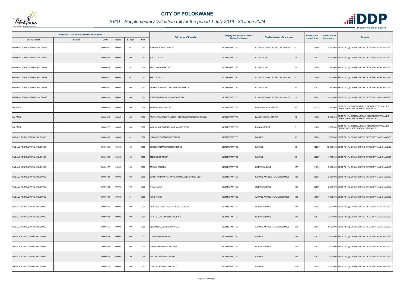

| Registered or other description of the property |                  |         |                |      |                                                 | <b>Category determined in terms of</b> | Physical address of the property            | <b>Extent of the</b> | <b>Market value of</b><br><b>Remarks</b>                                                      |
|-------------------------------------------------|------------------|---------|----------------|------|-------------------------------------------------|----------------------------------------|---------------------------------------------|----------------------|-----------------------------------------------------------------------------------------------|
| <b>Town Allotment</b>                           | Suburb<br>Erf Nr | Portion | <b>Section</b> | Unit | <b>Full Names of Owner(s)</b>                   | <b>Section 8 of the Act</b>            |                                             | property (HA)        | the property                                                                                  |
| ELMADAL AGRICULTURAL HOLDINGS                   | 00000001         | 00000   | 01             | 0000 | ALMEIDA JORGE DUARTE                            | <b>NON PERMITTED</b>                   | ELMADAL AGRICULTURAL HOLDINGS               | 1.0000               | 1 000 000 SECT 78(1)(g) OF WHICH THE CATEGORY HAS CHANGED                                     |
| ELMADAL AGRICULTURAL HOLDINGS                   | 00000013         | 00000   | $00\,$         | 0000 | WPCONCC                                         | <b>NON PERMITTED</b>                   | <b>ELMADAL AH</b><br>13                     | 4.2827               | 1 200 000 SECT 78(1)(g) OF WHICH THE CATEGORY HAS CHANGED                                     |
| ELMADAL AGRICULTURAL HOLDINGS                   | 00000016         | 00000   | 01             | 0000 | BESCON PROPERTY CC                              | <b>NON PERMITTED</b>                   | <b>ELMADAL AH</b><br>16                     | 1.0000               | 860 000 SECT 78(1)(g) OF WHICH THE CATEGORY HAS CHANGED                                       |
| ELMADAL AGRICULTURAL HOLDINGS                   | 00000017         | 00000   | 01             | 0000 | <b>BERTI MILNA</b>                              | <b>NON PERMITTED</b>                   | ELMADAL AGRICULTURAL HOLDINGS<br>17         | 1.0000               | 1 000 000 SECT 78(1)(g) OF WHICH THE CATEGORY HAS CHANGED                                     |
| ELMADAL AGRICULTURAL HOLDINGS                   | 00000021         | 00000   | $00\,$         | 0000 | GRIFFIN JOHANNA CAROLINA MAGHRETA               | <b>NON PERMITTED</b>                   | <b>ELMADAL AH</b><br>21                     | 4.2827               | 900 000 SECT 78(1)(g) OF WHICH THE CATEGORY HAS CHANGED                                       |
| ELMADAL AGRICULTURAL HOLDINGS                   | 00000029         | 00000   | $00\,$         | 0000 | SCHOEMAN MELODIE MARGARETHA                     | <b>NON PERMITTED</b>                   | ELMADAL AGRICULTURAL HOLDINGS<br>29         | 4.2827               | 2 500 000 SECT 78(1)(g) OF WHICH THE CATEGORY HAS CHANGED                                     |
| <b>IVY PARK</b>                                 | 00000006         | 00000   | $00\,$         | 0000 | NADAIR PROP PTY LTD                             | <b>NON PERMITTED</b>                   | 42<br>LANGENHOVEN STREET                    | 0.1739               | 1450 000 SECT 78(1)(e) SUBSTANTIALLY INCORRECTLY VALUED                                       |
| <b>IVY PARK</b>                                 | 00000015         | 00000   | $00\,$         | 0000 | PAKO LEPOLANKA WILLERS LETSOALO MORONGOA ROSINA | <b>NON PERMITTED</b>                   | 24<br><b>LANGENHOVEN STREET</b>             | 0.1324               | 2 500 000 SECT 78(1)(e) SUBSTANTIALLY INCORRECTLY VALUED<br>DURING THE LAST GENERAL VALUATION |
| <b>IVY PARK</b>                                 | 00000127         | 00000   | 00             | 0000 | MASHALA DITUMISHO MASHALA DITHETO               | <b>NON PERMITTED</b>                   | <b>FAGAN STREET</b><br>$\overline{2}$       | 0.1000               | 1 300 000 SECT 78(1)(e) SUBSTANTIALLY INCORRECTLY VALUED<br>DURING THE LAST GENERAL VALUATION |
| <b>IVYDALE AGRICULTURAL HOLDINGS</b>            | 00000053         | 00000   | 01             | 0000 | HENNING JOHANNES GERHARD                        | <b>NON PERMITTED</b>                   | <b>IVYDALE</b><br>53                        | 1.0000               | 1 000 000 SECT 78(1)(g) OF WHICH THE CATEGORY HAS CHANGED                                     |
| <b>IVYDALE AGRICULTURAL HOLDINGS</b>            | 00000054         | 00000   | $00\,$         | 0000 | SCHOEMAN MARGARETHA RENEE                       | <b>NON PERMITTED</b>                   | 54<br><b>IVYDALE</b>                        | 4.2827               | 10 500 000 SECT 78(1)(g) OF WHICH THE CATEGORY HAS CHANGED                                    |
| <b>IVYDALE AGRICULTURAL HOLDINGS</b>            | 00000062         | 00000   | $00\,$         | 0000 | TERKLOOP TRUST                                  | <b>NON PERMITTED</b>                   | 62<br><b>IVYDALE</b>                        | 4.2827               | 4 700 000 SECT 78(1)(g) OF WHICH THE CATEGORY HAS CHANGED                                     |
| IVYDALE AGRICULTURAL HOLDINGS                   | 00000127         | 00000   | $00\,$         | 0000 | <b>BAVA SHAHEEDA</b>                            | <b>NON PERMITTED</b>                   | 127<br><b>HOEWE IVYDALE</b>                 | 2.1394               | 3 900 000 SECT 78(1)(g) OF WHICH THE CATEGORY HAS CHANGED                                     |
| <b>IVYDALE AGRICULTURAL HOLDINGS</b>            | 00000130         | 00000   | $00\,$         | 0000 | SOUTH AFRICAN NATIONAL ROADS AGENCY SOC LTD     | <b>NON PERMITTED</b>                   | IVYDALE AGRICULTURAL HOLDINGS<br>130        | 3.9284               | 3 900 000 SECT 78(1)(g) OF WHICH THE CATEGORY HAS CHANGED                                     |
| <b>IVYDALE AGRICULTURAL HOLDINGS</b>            | 00000132         | 00000   | $00\,$         | 0000 | <b>KHAN JAMILA</b>                              | <b>NON PERMITTED</b>                   | 132<br>HOEWE IVYDALE                        | 2.2800               | 2 300 000 SECT 78(1)(g) OF WHICH THE CATEGORY HAS CHANGED                                     |
| <b>IVYDALE AGRICULTURAL HOLDINGS</b>            | 00000140         | 00000   | 01             | 0000 | <b>TOFO TRUST</b>                               | <b>NON PERMITTED</b>                   | <b>IVYDALE AGRICULTURAL HOLDINGS</b><br>140 | 1.0000               | 1 900 000 SECT 78(1)(g) OF WHICH THE CATEGORY HAS CHANGED                                     |
| <b>IVYDALE AGRICULTURAL HOLDINGS</b>            | 00000147         | 00000   | 00             | 0000 | MEINTJES ELSIE MAGDALENA ELIZABETH              | <b>NON PERMITTED</b>                   | 147<br>HOEWE IVYDALE                        | 4.3617               | 3 200 000 SECT 78(1)(g) OF WHICH THE CATEGORY HAS CHANGED                                     |
| <b>IVYDALE AGRICULTURAL HOLDINGS</b>            | 00000149         | 00000   | $00\,$         | 0000 | HV & LV CUSTOMER SERVICE CC                     | <b>NON PERMITTED</b>                   | 149<br><b>HOEWE IVYDALE</b>                 | 4.3577               | 3 700 000 SECT 78(1)(g) OF WHICH THE CATEGORY HAS CHANGED                                     |
| IVYDALE AGRICULTURAL HOLDINGS                   | 00000151         | 00000   | 00             | 0000 | MEULAN BELEGGINGS PTY LTD                       | <b>NON PERMITTED</b>                   | <b>IVYDALE AGRICULTURAL HOLDINGS</b><br>151 | 4.3617               | 5 500 000 SECT 78(1)(g) OF WHICH THE CATEGORY HAS CHANGED                                     |
| <b>IVYDALE AGRICULTURAL HOLDINGS</b>            | 00000159         | 00000   | $00\,$         | 0000 | UIGI ENTERPRISES CC                             | <b>NON PERMITTED</b>                   | <b>IVYDALE</b><br>159                       | 4.2827               | 3 000 000 SECT 78(1)(g) OF WHICH THE CATEGORY HAS CHANGED                                     |
| IVYDALE AGRICULTURAL HOLDINGS                   | 00000160         | 00000   | 00             | 0000 | KORFF STEPHANUS PETRUS                          | <b>NON PERMITTED</b>                   | 160<br>HOEWE IVYDALE                        | 4.2827               | 3 000 000 SECT 78(1)(g) OF WHICH THE CATEGORY HAS CHANGED                                     |
| <b>IVYDALE AGRICULTURAL HOLDINGS</b>            | 00000172         | 00000   | $00\,$         | 0000 | PESTANA ISIDRO CORNELIO                         | <b>NON PERMITTED</b>                   | <b>IVYDALE</b><br>172                       | 4.2827               | 2 400 000 SECT 78(1)(g) OF WHICH THE CATEGORY HAS CHANGED                                     |
| IVYDALE AGRICULTURAL HOLDINGS                   | 00000173         | 00000   | $00\,$         | 0000 | TUNICA TRADING 142 PTY LTD                      | <b>NON PERMITTED</b>                   | <b>IVYDALE</b><br>173                       | 4.7852               | 3 000 000 SECT 78(1)(g) OF WHICH THE CATEGORY HAS CHANGED                                     |

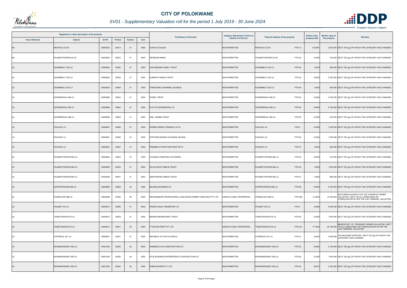

| Registered or other description of the property |                       |          |                |                |      | <b>Full Names of Owner(s)</b>                             | Category determined in terms of | Physical address of the property       | <b>Extent of the</b> | <b>Market value of</b> | Remarks                                                                                                                                        |
|-------------------------------------------------|-----------------------|----------|----------------|----------------|------|-----------------------------------------------------------|---------------------------------|----------------------------------------|----------------------|------------------------|------------------------------------------------------------------------------------------------------------------------------------------------|
| <b>Town Allotment</b>                           | <b>Suburb</b>         | Erf Nr   | <b>Portion</b> | <b>Section</b> | Unit |                                                           | <b>Section 8 of the Act</b>     |                                        | property (HA)        | the property           |                                                                                                                                                |
| KS                                              | RIETKOLK 23 KS        | 00000023 | 00013          | 01             | 0000 | <b>SCHOLTZ SAJIDA</b>                                     | <b>NON PERMITTED</b>            | <b>PTN 13</b><br>RIETKOLK 23 KS        | 50.8281              |                        | 2 000 000 SECT 78(1)(g) OF WHICH THE CATEGORY HAS CHANGED                                                                                      |
| KS                                              | PALMIETFONTEIN 24 KS  | 00000024 | 00033          | 01             | 0000 | <b>GROBLER MARIA</b>                                      | <b>NON PERMITTED</b>            | PALMIETFONTEIN 24 KS<br><b>PTN 33</b>  | 0.5000               |                        | 100 000 SECT 78(1)(g) OF WHICH THE CATEGORY HAS CHANGED                                                                                        |
| <b>LS</b>                                       | DOORNBULT 624 LS      | 00000624 | 00025          | 01             | 0000 | VAN NIEKERK FAMILY TRUST                                  | <b>NON PERMITTED</b>            | <b>PTN 25</b><br>DOORNBULT 624 LS      | 1.0000               |                        | 880 000 SECT 78(1)(g) OF WHICH THE CATEGORY HAS CHANGED                                                                                        |
| <b>LS</b>                                       | DOORNBULT 624 LS      | 00000624 | 00039          | 01             | 0000 | ALBERTS FAMILIE TRUST                                     | <b>NON PERMITTED</b>            | DOORNBULT 624 LS<br><b>PTN 39</b>      | 4.0000               |                        | 2 200 000 SECT 78(1)(g) OF WHICH THE CATEGORY HAS CHANGED                                                                                      |
| <b>LS</b>                                       | DOORNBULT 624 LS      | 00000624 | 00049          | 01             | 0000 | STREICHER JOHANNES JACOBUS                                | NON PERMITTED                   | <b>PTN 49</b><br>DOORNBULT 624 LS      | 1.0000               |                        | 850 000 SECT 78(1)(g) OF WHICH THE CATEGORY HAS CHANGED                                                                                        |
| LS                                              | DOORNKRAAL 680 LS     | 00000680 | 00053          | 01             | 0000 | PHIDEL TRUST                                              | <b>NON PERMITTED</b>            | DOORNKRAAL 680 LS<br><b>PTN 53</b>     | 3.0000               |                        | 3 000 000 SECT 78(1)(g) OF WHICH THE CATEGORY HAS CHANGED                                                                                      |
| LS.                                             | DOORNKRAAL 680 LS     | 00000680 | 00054          | 01             | 0000 | PLOT 54 DOORNKRAAL CC                                     | <b>NON PERMITTED</b>            | <b>PTN 54</b><br>DOORNKRAAL 680 LS     | 0.6000               |                        | 6 700 000 SECT 78(1)(g) OF WHICH THE CATEGORY HAS CHANGED                                                                                      |
| LS                                              | DOORNKRAAL 680 LS     | 00000680 | 00055          | 01             | 0000 | <b>GIEL JANSEN TRUST</b>                                  | <b>NON PERMITTED</b>            | DOORNKRAAL 680 LS<br><b>PTN 55</b>     | 0.3000               |                        | 530 000 SECT 78(1)(g) OF WHICH THE CATEGORY HAS CHANGED                                                                                        |
| <b>LS</b>                                       | PALM 681 LS           | 00000681 | 00006          | 01             | 0000 | SPRING GREEN TRADING 310 CC                               | <b>NON PERMITTED</b>            | PALM 681LS<br>PTN 6                    | 2.0000               |                        | 7 400 000 SECT 78(1)(g) OF WHICH THE CATEGORY HAS CHANGED                                                                                      |
| <b>LS</b>                                       | PALM 681 LS           | 00000681 | 00026          | 01             | 0000 | STRYDOM GESINA CATARINA HELENA                            | <b>NON PERMITTED</b>            | <b>PALM 681 LS</b><br><b>PTN 26</b>    | 2.0000               |                        | 1 200 000 SECT 78(1)(g) OF WHICH THE CATEGORY HAS CHANGED                                                                                      |
| <b>LS</b>                                       | PALM 681 LS           | 00000681 | 00027          | 01             | 0000 | PREMIER ATTRACTION PROP 28 CC                             | <b>NON PERMITTED</b>            | <b>PALM 681 LS</b><br><b>PTN 27</b>    | 1.0000               |                        | 850 000 SECT 78(1)(g) OF WHICH THE CATEGORY HAS CHANGED                                                                                        |
| LS                                              | PALMIETFONTEIN 684 LS | 00000684 | 00032          | 01             | 0000 | COUSINS CHRISTINA CATHARINA                               | NON PERMITTED                   | <b>PTN 32</b><br>PALMIETFONTEIN 684 LS | 0.5000               |                        | 370 000 SECT 78(1)(g) OF WHICH THE CATEGORY HAS CHANGED                                                                                        |
| <b>LS</b>                                       | PALMIETFONTEIN 684 LS | 00000684 | 00035          | 01             | 0000 | WILLE ROUX FAMILIE TRUST                                  | <b>NON PERMITTED</b>            | PALMIETFONTEIN 684 LS<br><b>PTN 35</b> | 1.0000               |                        | 1 500 000 SECT 78(1)(g) OF WHICH THE CATEGORY HAS CHANGED                                                                                      |
| LS                                              | PALMIETFONTEIN 684 LS | 00000684 | 00051          | 01             | 0000 | SERFONTEIN FAMILIE TRUST                                  | <b>NON PERMITTED</b>            | <b>PTN 51</b><br>PALMIETFONTEIN 684 LS | 1.0000               |                        | 880 000 SECT 78(1)(g) OF WHICH THE CATEGORY HAS CHANGED                                                                                        |
| <b>LS</b>                                       | KOPPIEFONTEIN 686 LS  | 00000686 | 00028          | $00\,$         | 0000 | MAJANA BUSDIENS CC                                        | <b>NON PERMITTED</b>            | KOPPIEFONTEIN 686 LS<br><b>PTN 28</b>  | 8.5653               |                        | 9 700 000 SECT 78(1)(g) OF WHICH THE CATEGORY HAS CHANGED                                                                                      |
| <b>LS</b>                                       | STERKLOOP 688 LS      | 00000688 | 00466          | $00\,$         | 0000 | GROUNDBASE PROFESSIONAL LAND DEVELOPMENT SERVICES PTY LTD | AGRICULTURAL PROPERTIES         | STERKLOOP 688 LS<br><b>PTN 466</b>     | 12.4825              |                        | SOUTHERN GATEWAY EXT 005 TOWNSHIP OWNER<br>19 700 000 VALUATION / SECT 78(1)(c) SUBDIVIDED OR<br>CONSOLIDATED AFTER THE LAST GENERAL VALUATION |
| <b>LS</b>                                       | PALMIET 910 LS        | 00000910 | 00000          | 01             | 0000 | FRANCO BULK TRANSPORT CC                                  | <b>NON PERMITTED</b>            | PALMIET 910LS<br>PTN 0                 | 3.0000               |                        | 5 600 000 SECT 78(1)(g) OF WHICH THE CATEGORY HAS CHANGED                                                                                      |
| <b>LS</b>                                       | TWEEFONTEIN 915 LS    | 00000915 | 00029          | 01             | 0000 | BENNIE BRONKHORST TRUST                                   | <b>NON PERMITTED</b>            | <b>PTN 29</b><br>TWEEFONTEIN 915 LS    | 0.5000               |                        | 1 000 000 SECT 78(1)(g) OF WHICH THE CATEGORY HAS CHANGED                                                                                      |
| <b>LS</b>                                       | TWEEFONTEIN 915 LS    | 00000915 | 00431          | $00\,$         | 0000 | TYSOCON PROP PTY LTD                                      | AGRICULTURAL PROPERTIES         | <b>PTN 431</b><br>TWEEFONTEIN 915 LS   | 17.7802              |                        | BENDOR EXT 101 TOWNSHIP OWNER VALUATION / SECT<br>28 100 000 78(1)(c) SUBDIVIDED OR CONSOLIDATED AFTER THE<br>LAST GENERAL VALUATION           |
| <b>LS</b>                                       | SYFERKUIL 921 LS      | 00000921 | 00021          | 01             | 0000 | REPUBLIC OF SOUTH AFRICA                                  | <b>NON PERMITTED</b>            | SYFERKUIL 921 LS<br><b>PTN 21</b>      | 2.0000               |                        | 3 000 000 TAU BUILDING SUPPLIES / SECT 78(1)(g) OF WHICH THE<br>CATEGORY HAS CHANGED                                                           |
| <b>LS</b>                                       | MYNGENOEGEN 1000 LS   | 00001000 | 00022          | $00\,$         | 0000 | RAMASELA M R CONSTRUCTION CC                              | <b>NON PERMITTED</b>            | <b>PTN 22</b><br>MYNGENOEGEN 1000 LS   | 8.4852               |                        | 2 100 000 SECT 78(1)(g) OF WHICH THE CATEGORY HAS CHANGED                                                                                      |
| <b>LS</b>                                       | MYNGENOEGEN 1000 LS   | 00001000 | 00028          | $00\,$         | 0000 | NTJE BUSINESS ENTERPRISE & CONSTRUCTION CC                | <b>NON PERMITTED</b>            | <b>PTN 28</b><br>MYNGENOEGEN 1000 LS   | 2.2450               |                        | 1 400 000 SECT 78(1)(g) OF WHICH THE CATEGORY HAS CHANGED                                                                                      |
| <b>LS</b>                                       | MYNGENOEGEN 1000 LS   | 00001000 | 00044          | $00\,$         | 0000 | RABE BOUERS PTY LTD                                       | NON PERMITTED                   | MYNGENOEGEN 1000 LS<br><b>PTN 44</b>   | 9.6272               |                        | 2 300 000 SECT 78(1)(g) OF WHICH THE CATEGORY HAS CHANGED                                                                                      |

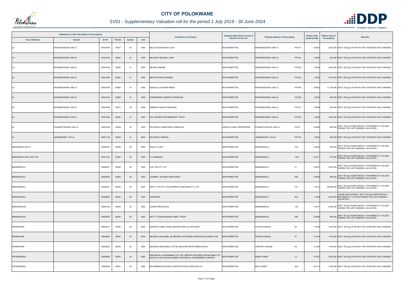

|                         | Registered or other description of the property |          |                |                |      | <b>Full Names of Owner(s)</b>                                                                                         | Category determined in terms of | Physical address of the property     | <b>Extent of the</b> | Market value of | <b>Remarks</b>                                                                                                      |
|-------------------------|-------------------------------------------------|----------|----------------|----------------|------|-----------------------------------------------------------------------------------------------------------------------|---------------------------------|--------------------------------------|----------------------|-----------------|---------------------------------------------------------------------------------------------------------------------|
| <b>Town Allotment</b>   | <b>Suburb</b>                                   | Erf Nr   | <b>Portion</b> | <b>Section</b> | Unit |                                                                                                                       | Section 8 of the Act            |                                      | property (HA)        | the property    |                                                                                                                     |
| LS                      | MYNGENOEGEN 1048 LS                             | 00001048 | 00037          | 00             | 0000 | BALOYI KHAWURISA LIZZY                                                                                                | <b>NON PERMITTED</b>            | <b>PTN 37</b><br>MYNGENOEGEN 1048 LS | 8.5653               |                 | 3 500 000 SECT 78(1)(g) OF WHICH THE CATEGORY HAS CHANGED                                                           |
| <b>LS</b>               | MYNGENOEGEN 1048 LS                             | 00001048 | 00044          | 02             | 0000 | MALONEY MICHAEL JOHN                                                                                                  | <b>NON PERMITTED</b>            | <b>PTN 44</b><br>MYNGENOEGEN 1048 LS | 1.0000               |                 | 550 000 SECT 78(1)(g) OF WHICH THE CATEGORY HAS CHANGED                                                             |
| LS                      | MYNGENOEGEN 1048 LS                             | 00001048 | 00060          | 01             | 0000 | <b>MACKIE SIMONE</b>                                                                                                  | <b>NON PERMITTED</b>            | <b>PTN 60</b><br>MYNGENOEGEN 1048 LS | 1.0000               |                 | 2 800 000 SECT 78(1)(g) OF WHICH THE CATEGORY HAS CHANGED                                                           |
| <b>LS</b>               | MYNGENOEGEN 1048 LS                             | 00001048 | 00062          | 01             | 0000 | <b>BRITS PETRUS HENDRIK</b>                                                                                           | <b>NON PERMITTED</b>            | MYNGENOEGEN 1048 LS<br><b>PTN 62</b> | 1.0000               |                 | 3 700 000 SECT 78(1)(g) OF WHICH THE CATEGORY HAS CHANGED                                                           |
| LS                      | MYNGENOEGEN 1048 LS                             | 00001048 | 00064          | 01             | 0000 | SEKALELI LESTRINA MEDE                                                                                                | <b>NON PERMITTED</b>            | <b>PTN 64</b><br>MYNGENOEGEN 1048 LS | 4.5653               |                 | 11 700 000 SECT 78(1)(g) OF WHICH THE CATEGORY HAS CHANGED                                                          |
| <b>LS</b>               | MYNGENOEGEN 1048 LS                             | 00001048 | 00069          | 01             | 0000 | <b>(OEKEMOER ALBERTUS FRANCOIS</b>                                                                                    | <b>NON PERMITTED</b>            | MYNGENOEGEN 1048 LS<br><b>PTN 69</b> | 1.0000               |                 | 480 000 SECT 78(1)(g) OF WHICH THE CATEGORY HAS CHANGED                                                             |
| LS                      | MYNGENOEGEN 1048 LS                             | 00001048 | 00077          | $00\,$         | 0000 | SIMANGO MAJIKA FRANCINA                                                                                               | <b>NON PERMITTED</b>            | <b>PTN 77</b><br>MYNGENOEGEN 1048 LS | 1.9996               |                 | 400 000 SECT 78(1)(g) OF WHICH THE CATEGORY HAS CHANGED                                                             |
| <b>LS</b>               | MYNGENOEGEN 1048 LS                             | 00001048 | 00084          | 01             | 0000 | FAC VENTER TESTAMENTARY TRUST                                                                                         | <b>NON PERMITTED</b>            | <b>PTN 84</b><br>MYNGENOEGEN 1048 LS | 1.0000               |                 | 1 080 000 SECT 78(1)(g) OF WHICH THE CATEGORY HAS CHANGED                                                           |
| LS                      | PALMIETFONTEIN 1049 LS                          | 00001049 | 00008          | $00\,$         | 0000 | PISTORIUS CHRISTIAAN CORNELIUS                                                                                        | <b>AGRICULTURAL PROPERTIES</b>  | PTN 8<br>PALMIETFONTEIN 1049 LS      | 8.6599               |                 | 950 000 SECT 78(1)(e) SUBSTANTIALLY INCORRECTLY VALUED<br>DURING THE LAST GENERAL VALUATION                         |
| <b>LS</b>               | JANSENPARK 1136 LS                              | 00001136 | 00025          | 01             | 0000 | MOJAPELO SEPENA                                                                                                       | <b>NON PERMITTED</b>            | <b>PTN 25</b><br>JANSENPARK 1136 LS  | 1.0000               |                 | 460 000 SECT 78(1)(g) OF WHICH THE CATEGORY HAS CHANGED                                                             |
| MANKWENG UNIT G         |                                                 | 00000763 | 00000          | 00             | 0000 | SHAIN J & M S                                                                                                         | NON PERMITTED                   | MANKWENG-G<br>763                    | 0.2455               |                 | 230 000 SECT 78(1)(e) SUBSTANTIALLY INCORRECTLY VALUED<br>DURING THE LAST GENERAL VALUATION                         |
| MANKWENG UNIT G EXT 001 |                                                 | 00001333 | 00000          | 00             | 0000 | V SEANEGO                                                                                                             | <b>NON PERMITTED</b>            | MANKWENG-G<br>1333                   | 0.041                |                 | 210 000 SECT 78(1)(e) SUBSTANTIALLY INCORRECTLY VALUED<br>DURING THE LAST GENERAL VALUATION                         |
| MANKWENG-A              |                                                 | 00000041 | 00000          | 00             | 0000 | A & F INV PTY LTD                                                                                                     | <b>NON PERMITTED</b>            | MANKWENG-A<br>41                     | 0.2007               |                 | 3 400 000 SECT 78(1)(e) SUBSTANTIALLY INCORRECTLY VALUED<br>DURING THE LAST GENERAL VALUATION                       |
| <b>MANKWENG-A</b>       |                                                 | 00000559 | 00000          | 00             | 0000 | JOUBERT JACOBUS MARTHINUS                                                                                             | <b>NON PERMITTED</b>            | 559<br><b>MANKWENG-A</b>             | 0.0928               |                 | 480 000 SECT 78(1)(e) SUBSTANTIALLY INCORRECTLY VALUED<br>DURING THE LAST GENERAL VALUATION                         |
| MANKWENG-A              |                                                 | 00000747 | 00000          | 00             | 0000 | ZELPY 1775 PTY LTD SHOPRITE CHECKERS PTY LTD                                                                          | NON PERMITTED                   | 747<br>MANKWENG-A                    | 1.2213               |                 | SECT 78(1)(e) SUBSTANTIALLY INCORRECTLY VALUED<br>38 800 000 DURING THE LAST GENERAL VALUATION                      |
| <b>MANKWENG-A</b>       |                                                 | 00000803 | 00000          | $00\,$         | 0000 | UNKNOWN                                                                                                               | NON PERMITTED                   | 803<br>MANKWENG-A                    | 1.1582               |                 | LODGE AND HOUSES / SECT 78(1)(e) SUBSTANTIALLY<br>5 000 000 INCORRECTLY VALUED DURING THE LAST GENERAL<br>VALUATION |
| <b>MANKWENG-B</b>       |                                                 | 00000126 | 00000          | 00             | 0000 | <b>LESEDI PRESCHOOL</b>                                                                                               | <b>NON PERMITTED</b>            | MANKWENG-B<br>126                    | 1.9741               |                 | 2 200 000 SECT 78(1)(e) SUBSTANTIALLY INCORRECTLY VALUED<br>DURING THE LAST GENERAL VALUATION                       |
| <b>MANKWENG-B</b>       |                                                 | 00000638 | 00000          | $00\,$         | 0000 | NATTY TJIANE MOKABA FAMILY TRUST                                                                                      | <b>NON PERMITTED</b>            | MANKWENG-B<br>638                    | 0.0558               |                 | 560 000 SECT 78(1)(e) SUBSTANTIALLY INCORRECTLY VALUED<br>DURING THE LAST GENERAL VALUATION                         |
| <b>PENINAPARK</b>       |                                                 | 00000013 | 00000          | $00\,$         | 0000 | NGOEPE THABO HOSEA NGOEPE MAPULA GETRUDE                                                                              | NON PERMITTED                   | PAFURI AVENUE<br>28                  | 0.1038               |                 | 1 200 000 SECT 78(1)(g) OF WHICH THE CATEGORY HAS CHANGED                                                           |
| <b>PENINAPARK</b>       |                                                 | 00000098 | 00000          | $00\,$         | 0000 | NECKER JAN DANIEL DE NECKER CATHARINA CHRISTINA ELIZABETH DE                                                          | <b>NON PERMITTED</b>            | PAFURI AVENUE<br>47                  | 0.1404               |                 | 1 700 000 SECT 78(1)(g) OF WHICH THE CATEGORY HAS CHANGED                                                           |
| PENINAPARK              |                                                 | 00000290 | 00000          | 00             | 0000 | SEKGOKA MOHUBEDU LETTIE SEKGOKA MOTETEMEDI ELECK                                                                      | NON PERMITTED                   | 54<br><b>LIMPOPO AVENUE</b>          | 0.1090               |                 | 1 300 000 SECT 78(1)(g) OF WHICH THE CATEGORY HAS CHANGED                                                           |
| <b>PIETERSBURG</b>      |                                                 | 00000096 | 00000          | $00\,$         | 0000 | PROVINCIAL GOVERNMENT OF THE LIMPOPO PROVINCE DEPARTMENT OF<br>HEALTH & SOC DEVELOPMENT PROVINCIAL GOVERNMENT LIMPOPO | <b>NON PERMITTED</b>            | <b>RABE STREET</b><br>12             | 0.1427               |                 | 2 200 000 SECT 78(1)(g) OF WHICH THE CATEGORY HAS CHANGED                                                           |
| PIETERSBURG             |                                                 | 00000099 | 00001          | 00             | 0000 | MTHOMBENI BUILDING CONSTRUCTION & SERVICES CC                                                                         | NON PERMITTED                   | <b>BOK STREET</b><br>32A             | 0.0714               |                 | 1 300 000 SECT 78(1)(g) OF WHICH THE CATEGORY HAS CHANGED                                                           |

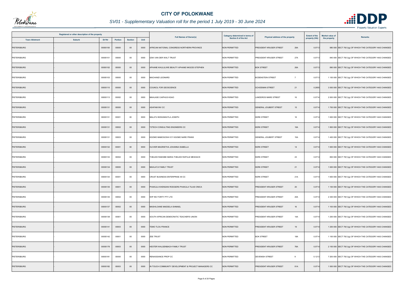

| Registered or other description of the property<br>Erf Nr<br><b>Town Allotment</b><br><b>Suburb</b><br><b>Portion</b><br><b>Section</b> |  |          | <b>Full Names of Owner(s)</b> | <b>Category determined in terms of</b> | Physical address of the property | <b>Extent of the</b>                                 | <b>Market value of</b> | <b>Remarks</b>                             |               |              |                                                           |
|-----------------------------------------------------------------------------------------------------------------------------------------|--|----------|-------------------------------|----------------------------------------|----------------------------------|------------------------------------------------------|------------------------|--------------------------------------------|---------------|--------------|-----------------------------------------------------------|
|                                                                                                                                         |  |          |                               |                                        | Unit                             |                                                      | Section 8 of the Act   |                                            | property (HA) | the property |                                                           |
| <b>PIETERSBURG</b>                                                                                                                      |  | 00000100 | 00000                         | $00\,$                                 | 0000                             | AFRICAN NATIONAL CONGRESS NORTHERN PROVINCE          | <b>NON PERMITTED</b>   | 29A<br>PRESIDENT KRUGER STREET             | 0.0713        |              | 980 000 SECT 78(1)(g) OF WHICH THE CATEGORY HAS CHANGED   |
| PIETERSBURG                                                                                                                             |  | 00000101 | 00000                         | $00\,$                                 | 0000                             | IZAK VAN DER WALT TRUST                              | <b>NON PERMITTED</b>   | 27A<br>PRESIDENT KRUGER STREET             | 0.0713        |              | 840 000 SECT 78(1)(g) OF WHICH THE CATEGORY HAS CHANGED   |
| <b>PIETERSBURG</b>                                                                                                                      |  | 00000102 | 00000                         | $00\,$                                 | 0000                             | APHANE KHULULIWE BEAUTY APHANE NKGODI STEPHEN        | <b>NON PERMITTED</b>   | <b>BOK STREET</b><br>26A                   | 0.0713        |              | 890 000 SECT 78(1)(g) OF WHICH THE CATEGORY HAS CHANGED   |
| PIETERSBURG                                                                                                                             |  | 00000103 | 00000                         | $00\,$                                 | 0000                             | MACHANZI LEONARD                                     | <b>NON PERMITTED</b>   | <b>BODENSTEIN STREET</b><br>$\overline{7}$ | 0.0713        |              | 1 100 000 SECT 78(1)(g) OF WHICH THE CATEGORY HAS CHANGED |
| <b>PIETERSBURG</b>                                                                                                                      |  | 00000110 | 00000                         | $00\,$                                 | 0000                             | COUNCIL FOR GEOSCIENCE                               | <b>NON PERMITTED</b>   | 21<br><b>SCHOEMAN STREET</b>               | 0.2855        |              | 3 500 000 SECT 78(1)(g) OF WHICH THE CATEGORY HAS CHANGED |
| PIETERSBURG                                                                                                                             |  | 00000113 | 00002                         | $00\,$                                 | 0000                             | MAHLASE CAIPHUS KGAO                                 | <b>NON PERMITTED</b>   | <b>LANDDROS MARE STREET</b><br>16          | 0.0714        |              | 2 000 000 SECT 78(1)(g) OF WHICH THE CATEGORY HAS CHANGED |
| PIETERSBURG                                                                                                                             |  | 00000131 | 00000                         | $00\,$                                 | 0000                             | ASHFAM INV CC                                        | <b>NON PERMITTED</b>   | <b>GENERAL JOUBERT STREET</b><br>15        | 0.0714        |              | 1 700 000 SECT 78(1)(g) OF WHICH THE CATEGORY HAS CHANGED |
| <b>PIETERSBURG</b>                                                                                                                      |  | 00000131 | 00001                         | $00\,$                                 | 0000                             | MALATJI BOKANKATLA JOSEPH                            | NON PERMITTED          | <b>KERK STREET</b><br>16                   | 0.0714        |              | 1 600 000 SECT 78(1)(g) OF WHICH THE CATEGORY HAS CHANGED |
| <b>PIETERSBURG</b>                                                                                                                      |  | 00000131 | 00002                         | $00\,$                                 | 0000                             | T2TECH CONSULTING ENGINEERS CC                       | <b>NON PERMITTED</b>   | 16A<br><b>KERK STREET</b>                  | 0.0714        |              | 1 800 000 SECT 78(1)(g) OF WHICH THE CATEGORY HAS CHANGED |
| PIETERSBURG                                                                                                                             |  | 00000131 | 00003                         | $00\,$                                 | 0000                             | KGOMO MABOGOSHI IVY KGOMO NARE FRANS                 | <b>NON PERMITTED</b>   | 15A<br>GENERAL JOUBERT STREET              | 0.0714        |              | 1 400 000 SECT 78(1)(g) OF WHICH THE CATEGORY HAS CHANGED |
| <b>PIETERSBURG</b>                                                                                                                      |  | 00000132 | 00001                         | $00\,$                                 | 0000                             | OLIVIER MAGRIETHA JOHANNA ISABELLA                   | <b>NON PERMITTED</b>   | <b>KERK STREET</b><br>14                   | 0.0714        |              | 1 600 000 SECT 78(1)(g) OF WHICH THE CATEGORY HAS CHANGED |
| PIETERSBURG                                                                                                                             |  | 00000133 | 00002                         | $00\,$                                 | 0000                             | THELEDI RAESIBE MARIA THELEDI RAPULE MESHACK         | <b>NON PERMITTED</b>   | 23<br><b>KERK STREET</b>                   | 0.0714        |              | 800 000 SECT 78(1)(g) OF WHICH THE CATEGORY HAS CHANGED   |
| PIETERSBURG                                                                                                                             |  | 00000134 | 00000                         | $00\,$                                 | 0000                             | MAHLATJI FAMILY TRUST                                | <b>NON PERMITTED</b>   | <b>KERK STREET</b><br>21                   | 0.0714        |              | 1 600 000 SECT 78(1)(g) OF WHICH THE CATEGORY HAS CHANGED |
| PIETERSBURG                                                                                                                             |  | 00000134 | 00001                         | $00\,$                                 | 0000                             | CRUST BUSINESS ENTERPRISE 49 CC                      | <b>NON PERMITTED</b>   | <b>KERK STREET</b><br>21A                  | 0.0714        |              | 1 600 000 SECT 78(1)(g) OF WHICH THE CATEGORY HAS CHANGED |
| PIETERSBURG                                                                                                                             |  | 00000135 | 00001                         | $00\,$                                 | 0000                             | PHAKULA KHENSANI RODGERS PHAKULA TILASI ONICA        | NON PERMITTED          | PRESIDENT KRUGER STREET<br>20              | 0.0714        |              | 1 100 000 SECT 78(1)(g) OF WHICH THE CATEGORY HAS CHANGED |
| PIETERSBURG                                                                                                                             |  | 00000135 | 00002                         | 00                                     | 0000                             | WIP INV FORTY PTY LTD                                | <b>NON PERMITTED</b>   | 20A<br>PRESIDENT KRUGER STREET             | 0.0714        |              | 2 300 000 SECT 78(1)(g) OF WHICH THE CATEGORY HAS CHANGED |
| <b>PIETERSBURG</b>                                                                                                                      |  | 00000137 | 00002                         | $00\,$                                 | 0000                             | MASHILOANE MAESELA ISHMAEL                           | <b>NON PERMITTED</b>   | PRESIDENT KRUGER STREET<br>16              | 0.0714        |              | 1 100 000 SECT 78(1)(g) OF WHICH THE CATEGORY HAS CHANGED |
| <b>PIETERSBURG</b>                                                                                                                      |  | 00000138 | 00001                         | $00\,$                                 | 0000                             | SOUTH AFRICAN DEMOCRATIC TEACHER'S UNION             | <b>NON PERMITTED</b>   | PRESIDENT KRUGER STREET<br>14A             | 0.0714        |              | 1 200 000 SECT 78(1)(g) OF WHICH THE CATEGORY HAS CHANGED |
| PIETERSBURG                                                                                                                             |  | 00000141 | 00003                         | $00\,$                                 | 0000                             | TEMO TLOU FRANCE                                     | <b>NON PERMITTED</b>   | PRESIDENT KRUGER STREET<br>19              | 0.0714        |              | 1 200 000 SECT 78(1)(g) OF WHICH THE CATEGORY HAS CHANGED |
| PIETERSBURG                                                                                                                             |  | 00000142 | 00001                         | 00                                     | 0000                             | <b>ZEE TRUST</b>                                     | <b>NON PERMITTED</b>   | <b>BOK STREET</b><br>18A                   | 0.0714        |              | 1 100 000 SECT 78(1)(g) OF WHICH THE CATEGORY HAS CHANGED |
| PIETERSBURG                                                                                                                             |  | 00000178 | 00003                         | $00\,$                                 | 0000                             | HESTER WALGENBACH FAMILY TRUST                       | <b>NON PERMITTED</b>   | 78A<br>PRESIDENT KRUGER STREET             | 0.0714        |              | 2 100 000 SECT 78(1)(g) OF WHICH THE CATEGORY HAS CHANGED |
| PIETERSBURG                                                                                                                             |  | 00000181 | 00000                         | 00                                     | 0000                             | RENAISSANCE PROP CC                                  | <b>NON PERMITTED</b>   | <b>DEVENISH STREET</b><br>9                | 0.1213        |              | 7 200 000 SECT 78(1)(g) OF WHICH THE CATEGORY HAS CHANGED |
| PIETERSBURG                                                                                                                             |  | 00000182 | 00003                         | $00\,$                                 | 0000                             | IN TOUCH COMMUNITY DEVELOPMENT & PROJECT MANAGERS CC | NON PERMITTED          | PRESIDENT KRUGER STREET<br>81A             | 0.0714        |              | 1 500 000 SECT 78(1)(g) OF WHICH THE CATEGORY HAS CHANGED |

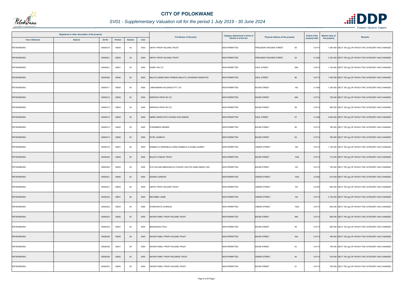

|                       | Registered or other description of the property |          |         |                |      | <b>Full Names of Owner(s)</b>                        | <b>Category determined in terms of</b> | Physical address of the property | <b>Extent of the</b> | <b>Market value of</b> | <b>Remarks</b>                                            |
|-----------------------|-------------------------------------------------|----------|---------|----------------|------|------------------------------------------------------|----------------------------------------|----------------------------------|----------------------|------------------------|-----------------------------------------------------------|
| <b>Town Allotment</b> | <b>Suburb</b>                                   | Erf Nr   | Portion | <b>Section</b> | Unit |                                                      | Section 8 of the Act                   |                                  | property (HA)        | the property           |                                                           |
| <b>PIETERSBURG</b>    |                                                 | 00000219 | 00004   | $00\,$         | 0000 | OMTAY PROP HOLDING TRUST                             | <b>NON PERMITTED</b>                   | PRESIDENT KRUGER STREET<br>68    | 0.0714               |                        | 1 500 000 SECT 78(1)(g) OF WHICH THE CATEGORY HAS CHANGED |
| <b>PIETERSBURG</b>    |                                                 | 00000221 | 00004   | $00\,$         | 0000 | OMTAY PROP HOLDING TRUST                             | <b>NON PERMITTED</b>                   | 64<br>PRESIDENT KRUGER STREET    | 0.1428               |                        | 2 300 000 SECT 78(1)(g) OF WHICH THE CATEGORY HAS CHANGED |
| PIETERSBURG           |                                                 | 00000231 | 00001   | $00\,$         | 0000 | DANDY INV CC                                         | <b>NON PERMITTED</b>                   | 68A<br><b>DAHL STREET</b>        | 0.0714               |                        | 1 100 000 SECT 78(1)(g) OF WHICH THE CATEGORY HAS CHANGED |
| PIETERSBURG           |                                                 | 00000306 | 00000   | $00\,$         | 0000 | MALATJI MABITLENG PHINEAS MALATJI JOHANNAH RAESETSA  | <b>NON PERMITTED</b>                   | 86<br><b>DAHL STREET</b>         | 0.0713               |                        | 1 400 000 SECT 78(1)(g) OF WHICH THE CATEGORY HAS CHANGED |
| PIETERSBURG           |                                                 | 00000311 | 00000   | $00\,$         | 0000 | <b>BERGMANN HOLDINGS PTY LTD</b>                     | <b>NON PERMITTED</b>                   | 100<br><b>BOOM STREET</b>        | 0.1428               |                        | 1 200 000 SECT 78(1)(g) OF WHICH THE CATEGORY HAS CHANGED |
| PIETERSBURG           |                                                 | 00000312 | 00002   | $00\,$         | 0000 | DERWISH PROP INV CC                                  | <b>NON PERMITTED</b>                   | <b>BOOM STREET</b><br>98A        | 0.0714               |                        | 750 000 SECT 78(1)(g) OF WHICH THE CATEGORY HAS CHANGED   |
| PIETERSBURG           |                                                 | 00000312 | 00003   | $00\,$         | 0000 | DERWISH PROP INV CC                                  | <b>NON PERMITTED</b>                   | 98<br><b>BOOM STREET</b>         | 0.0714               |                        | 950 000 SECT 78(1)(g) OF WHICH THE CATEGORY HAS CHANGED   |
| <b>PIETERSBURG</b>    |                                                 | 00000312 | 00004   | $00\,$         | 0000 | ABREU MARIA RITA AFONSO DOS RAMOS                    | <b>NON PERMITTED</b>                   | <b>DAHL STREET</b><br>97         | 0.1428               |                        | 4 800 000 SECT 78(1)(g) OF WHICH THE CATEGORY HAS CHANGED |
| PIETERSBURG           |                                                 | 00000313 | 00002   | $00\,$         | 0000 | STEENBERG RENIER                                     | <b>NON PERMITTED</b>                   | 96<br><b>BOOM STREET</b>         | 0.0714               |                        | 780 000 SECT 78(1)(g) OF WHICH THE CATEGORY HAS CHANGED   |
| PIETERSBURG           |                                                 | 00000314 | 00002   | $00\,$         | 0000 | PATEL SUMEIYA                                        | NON PERMITTED                          | <b>BOOM STREET</b><br>94         | 0.0714               |                        | 760 000 SECT 78(1)(g) OF WHICH THE CATEGORY HAS CHANGED   |
| PIETERSBURG           |                                                 | 00000319 | 00001   | 00             | 0000 | RAMMUTLA MORUBULA ANNA RAMMUTLA KGABO ALBERT         | <b>NON PERMITTED</b>                   | 108<br>ONDER STREET              | 0.0714               |                        | 1 150 000 SECT 78(1)(g) OF WHICH THE CATEGORY HAS CHANGED |
| PIETERSBURG           |                                                 | 00000320 | 00002   | $00\,$         | 0000 | <b>BALEYA FAMILIE TRUST</b>                          | <b>NON PERMITTED</b>                   | <b>BOOM STREET</b><br>105A       | 0.0714               |                        | 710 000 SECT 78(1)(g) OF WHICH THE CATEGORY HAS CHANGED   |
| PIETERSBURG           |                                                 | 00000320 | 00003   | $00\,$         | 0000 | DYK WILLEM ABRAHAM DU PLESSIS VAN DYK ANNA MARIA VAN | <b>NON PERMITTED</b>                   | <b>BOOM STREET</b><br>105        | 0.0714               |                        | 700 000 SECT 78(1)(g) OF WHICH THE CATEGORY HAS CHANGED   |
| <b>PIETERSBURG</b>    |                                                 | 00000321 | 00000   | $00\,$         | 0000 | <b>SZARKA SANDOR</b>                                 | <b>NON PERMITTED</b>                   | ONDER STREET<br>104A             | 0.0726               |                        | 810 000 SECT 78(1)(g) OF WHICH THE CATEGORY HAS CHANGED   |
| PIETERSBURG           |                                                 | 00000321 | 00003   | $00\,$         | 0000 | OMTAY PROP HOLDING TRUST                             | NON PERMITTED                          | <b>ONDER STREET</b><br>104       | 0.0702               |                        | 900 000 SECT 78(1)(g) OF WHICH THE CATEGORY HAS CHANGED   |
| PIETERSBURG           |                                                 | 00000322 | 00001   | $00\,$         | 0000 | MNTAMBO JAIME                                        | <b>NON PERMITTED</b>                   | <b>ONDER STREET</b><br>102       | 0.0714               |                        | 2 100 000 SECT 78(1)(g) OF WHICH THE CATEGORY HAS CHANGED |
| PIETERSBURG           |                                                 | 00000322 | 00003   | 00             | 0000 | STARKOWITZ CHARLES                                   | <b>NON PERMITTED</b>                   | ONDER STREET<br>102A             | 0.0714               |                        | 800 000 SECT 78(1)(g) OF WHICH THE CATEGORY HAS CHANGED   |
| PIETERSBURG           |                                                 | 00000323 | 00000   | $00\,$         | 0000 | ANVER FAMILY PROP HOLDING TRUST                      | <b>NON PERMITTED</b>                   | 99A<br><b>BOOM STREET</b>        | 0.0714               |                        | 950 000 SECT 78(1)(g) OF WHICH THE CATEGORY HAS CHANGED   |
| PIETERSBURG           |                                                 | 00000323 | 00001   | $00\,$         | 0000 | MAGONGWA PAUL                                        | <b>NON PERMITTED</b>                   | 99<br><b>BOOM STREET</b>         | 0.0714               |                        | 900 000 SECT 78(1)(g) OF WHICH THE CATEGORY HAS CHANGED   |
| PIETERSBURG           |                                                 | 00000326 | 00000   | $00\,$         | 0000 | ANVER FAMILY PROP HOLDING TRUST                      | <b>NON PERMITTED</b>                   | <b>BOOM STREET</b><br>93A        | 0.0713               |                        | 790 000 SECT 78(1)(g) OF WHICH THE CATEGORY HAS CHANGED   |
| PIETERSBURG           |                                                 | 00000326 | 00001   | $00\,$         | 0000 | ANVER FAMILY PROP HOLDING TRUST                      | <b>NON PERMITTED</b>                   | <b>BOOM STREET</b><br>93         | 0.0714               |                        | 740 000 SECT 78(1)(g) OF WHICH THE CATEGORY HAS CHANGED   |
| <b>PIETERSBURG</b>    |                                                 | 00000326 | 00002   | $00\,$         | 0000 | ANVER FAMILY PROP HOLDINGS TRUST                     | <b>NON PERMITTED</b>                   | 94<br><b>ONDER STREET</b>        | 0.0714               |                        | 700 000 SECT 78(1)(g) OF WHICH THE CATEGORY HAS CHANGED   |
| PIETERSBURG           |                                                 | 00000327 | 00000   | $00\,$         | 0000 | ANVER FAMILY PROP HOLDING TRUST                      | <b>NON PERMITTED</b>                   | <b>BOOM STREET</b><br>91         | 0.0714               |                        | 750 000 SECT 78(1)(g) OF WHICH THE CATEGORY HAS CHANGED   |

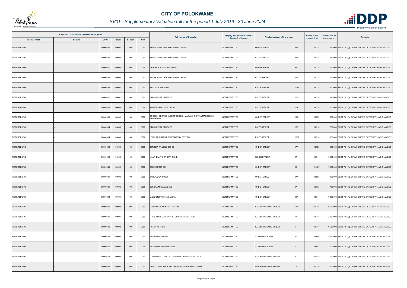

| Registered or other description of the property<br>Erf Nr |               |         |                |      | <b>Full Names of Owner(s)</b>                                      | Category determined in terms of | Physical address of the property         | <b>Extent of the</b> | <b>Market value of</b> | Remarks                                                   |
|-----------------------------------------------------------|---------------|---------|----------------|------|--------------------------------------------------------------------|---------------------------------|------------------------------------------|----------------------|------------------------|-----------------------------------------------------------|
| <b>Town Allotment</b>                                     | <b>Suburb</b> | Portion | <b>Section</b> | Unit |                                                                    | Section 8 of the Act            |                                          | property (HA)        | the property           |                                                           |
| <b>PIETERSBURG</b>                                        | 00000327      | 00001   | $00\,$         | 0000 | ANVER FAMILY PROP HOLDING TRUST                                    | <b>NON PERMITTED</b>            | <b>ONDER STREET</b><br>92A               | 0.0714               |                        | 860 000 SECT 78(1)(g) OF WHICH THE CATEGORY HAS CHANGED   |
| PIETERSBURG                                               | 00000327      | 00002   | 00             | 0000 | ANVER FAMILY PROP HOLDING TRUST                                    | <b>NON PERMITTED</b>            | 91A<br><b>BOOM STREET</b>                | 0.0714               |                        | 710 000 SECT 78(1)(g) OF WHICH THE CATEGORY HAS CHANGED   |
| <b>PIETERSBURG</b>                                        | 00000327      | 00003   | $00\,$         | 0000 | MPHAHLELE JACKINA MAMIKI                                           | <b>NON PERMITTED</b>            | 92<br><b>ONDER STREET</b>                | 0.0714               |                        | 750 000 SECT 78(1)(g) OF WHICH THE CATEGORY HAS CHANGED   |
| PIETERSBURG                                               | 00000328      | 00000   | 00             | 0000 | ANVER FAMILY PROP HOLDING TRUST                                    | <b>NON PERMITTED</b>            | <b>BOOM STREET</b><br>89A                | 0.0714               |                        | 750 000 SECT 78(1)(g) OF WHICH THE CATEGORY HAS CHANGED   |
| <b>PIETERSBURG</b>                                        | 00000332      | 00001   | $00\,$         | 0000 | SHAI MAPONE JOHN                                                   | <b>NON PERMITTED</b>            | <b>BUITE STREET</b><br>106A              | 0.0714               |                        | 800 000 SECT 78(1)(g) OF WHICH THE CATEGORY HAS CHANGED   |
| PIETERSBURG                                               | 00000332      | 00002   | $00\,$         | 0000 | STARKOWITZ CHARLES                                                 | <b>NON PERMITTED</b>            | <b>BUITE STREET</b><br>106               | 0.0714               |                        | 810 000 SECT 78(1)(g) OF WHICH THE CATEGORY HAS CHANGED   |
| <b>PIETERSBURG</b>                                        | 00000333      | 00000   | $00\,$         | 0000 | NABEEL SALOOJEE TRUST                                              | <b>NON PERMITTED</b>            | <b>BUITE STREET</b><br>104               | 0.0714               |                        | 800 000 SECT 78(1)(g) OF WHICH THE CATEGORY HAS CHANGED   |
| PIETERSBURG                                               | 00000333      | 00001   | $00\,$         | 0000 | DODGEN GEORGE ALBERT DODGEN MARIA CHRISTINA MAGDELENA<br>GERTRUIDA | <b>NON PERMITTED</b>            | <b>ONDER STREET</b><br>103               | 0.0723               |                        | 690 000 SECT 78(1)(g) OF WHICH THE CATEGORY HAS CHANGED   |
| <b>PIETERSBURG</b>                                        | 00000334      | 00000   | $00\,$         | 0000 | STARKOWITZ CHARLES                                                 | <b>NON PERMITTED</b>            | <b>BUITE STREET</b><br>102               | 0.0714               |                        | 750 000 SECT 78(1)(g) OF WHICH THE CATEGORY HAS CHANGED   |
| PIETERSBURG                                               | 00000334      | 00003   | $00\,$         | 0000 | LOUIS TRICHARDT BOUSENTRUM PTY LTD                                 | <b>NON PERMITTED</b>            | <b>BUITE STREET</b><br>102A              | 0.0714               |                        | 820 000 SECT 78(1)(g) OF WHICH THE CATEGORY HAS CHANGED   |
| PIETERSBURG                                               | 00000336      | 00000   | $00\,$         | 0000 | ZENOBIA TRADING 295 CC                                             | NON PERMITTED                   | <b>ONDER STREET</b><br>97A               | 0.0725               |                        | 950 000 SECT 78(1)(g) OF WHICH THE CATEGORY HAS CHANGED   |
| PIETERSBURG                                               | 00000336      | 00003   | $00\,$         | 0000 | NYATHELA TSHIFHIWA IRENE                                           | <b>NON PERMITTED</b>            | 2A<br><b>RISSIK STREET</b>               | 0.0714               |                        | 1 000 000 SECT 78(1)(g) OF WHICH THE CATEGORY HAS CHANGED |
| <b>PIETERSBURG</b>                                        | 00000340      | 00000   | $00\,$         | 0000 | DELEVEX 363 CC                                                     | <b>NON PERMITTED</b>            | <b>ONDER STREET</b><br>89                | 0.1427               |                        | 1 000 000 SECT 78(1)(g) OF WHICH THE CATEGORY HAS CHANGED |
| PIETERSBURG                                               | 00000341      | 00000   | $00\,$         | 0000 | <b>BAHLALOGA TRUST</b>                                             | <b>NON PERMITTED</b>            | 87A<br><b>ONDER STREET</b>               | 0.0695               |                        | 980 000 SECT 78(1)(g) OF WHICH THE CATEGORY HAS CHANGED   |
| <b>PIETERSBURG</b>                                        | 00000341      | 00003   | $00\,$         | 0000 | <b>BOLOKA MPYA ZACHIUS</b>                                         | <b>NON PERMITTED</b>            | <b>ONDER STREET</b><br>87                | 0.0733               |                        | 750 000 SECT 78(1)(g) OF WHICH THE CATEGORY HAS CHANGED   |
| <b>PIETERSBURG</b>                                        | 00000342      | 00001   | $00\,$         | 0000 | MANGOTLO TSAKANI LYDIA                                             | <b>NON PERMITTED</b>            | 85A<br><b>ONDER STREET</b>               | 0.0714               |                        | 1 200 000 SECT 78(1)(g) OF WHICH THE CATEGORY HAS CHANGED |
| PIETERSBURG                                               | 00000446      | 00002   | $00\,$         | 0000 | LESWIKA WOMEN INV PTY LTD                                          | <b>NON PERMITTED</b>            | 10A<br>LANDDROS MARE STREET              | 0.0714               |                        | 1 600 000 SECT 78(1)(g) OF WHICH THE CATEGORY HAS CHANGED |
| PIETERSBURG                                               | 00000449      | 00001   | $00\,$         | 0000 | FRANCOIS & LOUISA PRETORIUS FAMILIE TRUST                          | <b>NON PERMITTED</b>            | LANDDROS MARE STREET<br>4A               | 0.0714               |                        | 2 000 000 SECT 78(1)(g) OF WHICH THE CATEGORY HAS CHANGED |
| PIETERSBURG                                               | 00000449      | 00002   | $00\,$         | 0000 | FISHOF 1073 CC                                                     | <b>NON PERMITTED</b>            | LANDDROS MARE STREET<br>$\overline{4}$   | 0.0714               |                        | 1 600 000 SECT 78(1)(g) OF WHICH THE CATEGORY HAS CHANGED |
| <b>PIETERSBURG</b>                                        | 00000449      | 00003   | $00\,$         | 0000 | <b>/HARANANI PROP CC</b>                                           | <b>NON PERMITTED</b>            | 3A<br><b>SCHOEMAN STREET</b>             | 0.0696               |                        | 1 650 000 SECT 78(1)(g) OF WHICH THE CATEGORY HAS CHANGED |
| PIETERSBURG                                               | 00000450      | 00002   | $00\,$         | 0000 | /HARANANI PROPERTIES CC                                            | <b>NON PERMITTED</b>            | <b>SCHOEMAN STREET</b><br>$\overline{1}$ | 0.0952               |                        | 2 100 000 SECT 78(1)(g) OF WHICH THE CATEGORY HAS CHANGED |
| <b>PIETERSBURG</b>                                        | 00000452      | 00000   | $00\,$         | 0000 | LOURENS ELIZABETH LOURENS CORNELIUS JACOBUS                        | <b>NON PERMITTED</b>            | <b>LANDDROS MARE STREET</b><br>9         | 0.1428               |                        | 2 600 000 SECT 78(1)(g) OF WHICH THE CATEGORY HAS CHANGED |
| PIETERSBURG                                               | 00000453      | 00003   | $00\,$         | 0000 | MABOTJA LUDWICK MOLOGADI MAKWELA EDWIN MABATI                      | <b>NON PERMITTED</b>            | LANDDROS MARE STREET<br>7A               | 0.0714               |                        | 1 400 000 SECT 78(1)(g) OF WHICH THE CATEGORY HAS CHANGED |

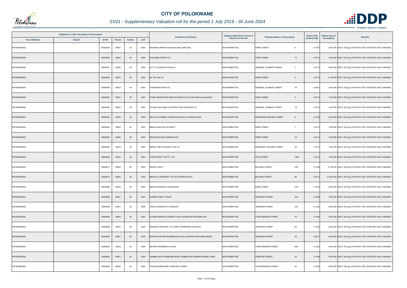

| Registered or other description of the property<br><b>Town Allotment</b><br><b>Suburb</b><br>Erf Nr<br>Portion<br><b>Section</b> |  |          |       |        | <b>Full Names of Owner(s)</b> | Category determined in terms of                        | Physical address of the property | <b>Extent of the</b>                     | Market value of | <b>Remarks</b> |                                                            |
|----------------------------------------------------------------------------------------------------------------------------------|--|----------|-------|--------|-------------------------------|--------------------------------------------------------|----------------------------------|------------------------------------------|-----------------|----------------|------------------------------------------------------------|
|                                                                                                                                  |  |          |       |        | Unit                          |                                                        | <b>Section 8 of the Act</b>      |                                          | property (HA)   | the property   |                                                            |
| PIETERSBURG                                                                                                                      |  | 00000454 | 00001 | 00     | 0000                          | ERASMUS MARTHA MAGDALENA CAROLINA                      | <b>NON PERMITTED</b>             | <b>MARK STREET</b><br>6                  | 0.1427          |                | 2 000 000 SECT 78(1)(g) OF WHICH THE CATEGORY HAS CHANGED  |
| PIETERSBURG                                                                                                                      |  | 00000456 | 00000 | $00\,$ | 0000                          | PHATSIMO PROPS CC                                      | <b>NON PERMITTED</b>             | <b>KERK STREET</b><br>10                 | 0.0713          |                | 1 400 000 SECT 78(1)(g) OF WHICH THE CATEGORY HAS CHANGED  |
| PIETERSBURG                                                                                                                      |  | 00000457 | 00000 | $00\,$ | 0000                          | M T T P CONSTRUCTION CC                                | <b>NON PERMITTED</b>             | GENERAL JOUBERT STREET<br>$\overline{7}$ | 0.0713          |                | 2 000 000 SECT 78(1)(g) OF WHICH THE CATEGORY HAS CHANGED  |
| PIETERSBURG                                                                                                                      |  | 00000458 | 00003 | $00\,$ | 0000                          | <b>BA TAU INV CC</b>                                   | <b>NON PERMITTED</b>             | <b>KERK STREET</b><br>6                  | 0.0714          |                | 2 100 000 SECT 78(1)(g) OF WHICH THE CATEGORY HAS CHANGED  |
| PIETERSBURG                                                                                                                      |  | 00000459 | 00002 | $00\,$ | 0000                          | VHARANANI PROP CC                                      | <b>NON PERMITTED</b>             | <b>GENERAL JOUBERT STREET</b><br>3A      | 0.0981          |                | 1 400 000 SECT 78(1)(g) OF WHICH THE CATEGORY HAS CHANGED  |
| PIETERSBURG                                                                                                                      |  | 00000460 | 00001 | $00\,$ | 0000                          | THABA REFENTSWE BEAUTY MAHLATJI PULANA MATLALA KAGISO  | <b>NON PERMITTED</b>             | <b>KERK STREET</b><br>$\overline{2}$     | 0.0714          |                | 1 700 000 SECT 78(1)(g) OF WHICH THE CATEGORY HAS CHANGED  |
| PIETERSBURG                                                                                                                      |  | 00000460 | 00003 | $00\,$ | 0000                          | THUSHA SECHABA CONSTRUCTION SERVICES CC                | NON PERMITTED                    | 1A<br>GENERAL JOUBERT STREET             | 0.0714          |                | 1 350 000 SECT 78(1)(g) OF WHICH THE CATEGORY HAS CHANGED  |
| PIETERSBURG                                                                                                                      |  | 00000463 | 00000 | $00\,$ | 0000                          | MATLALA THOMAS THAMAGA MATLALA CHUENE ALICE            | <b>NON PERMITTED</b>             | PRESIDENT KRUGER STREET<br>8             | 0.1428          |                | 2 300 000 SECT 78(1)(g) OF WHICH THE CATEGORY HAS CHANGED  |
| PIETERSBURG                                                                                                                      |  | 00000463 | 00002 | 00     | 0000                          | MMOLA MATLADI ALPHEUS                                  | <b>NON PERMITTED</b>             | <b>KERK STREET</b><br>$\overline{7}$     | 0.0714          |                | 1 000 000 SECT 78(1)(g) OF WHICH THE CATEGORY HAS CHANGED  |
| <b>PIETERSBURG</b>                                                                                                               |  | 00000465 | 00002 | $00\,$ | 0000                          | MOGASE EVODIA DEMAKATSO                                | <b>NON PERMITTED</b>             | <b>KERK STREET</b><br>3A                 | 0.0714          |                | 1 200 000 SECT 78(1)(g) OF WHICH THE CATEGORY HAS CHANGED  |
| PIETERSBURG                                                                                                                      |  | 00000465 | 00003 | 00     | 0000                          | BRIGHT IDEA PROJECTS 529 CC                            | <b>NON PERMITTED</b>             | PRESIDENT KRUGER STREET<br>4A            | 0.0714          |                | 1 200 000 SECT 78(1)(g) OF WHICH THE CATEGORY HAS CHANGED  |
| <b>PIETERSBURG</b>                                                                                                               |  | 00000466 | 00000 | $00\,$ | 0000                          | STRATOVEST 129 PTY LTD                                 | <b>NON PERMITTED</b>             | 102A<br><b>SUID STREET</b>               | 0.0714          |                | 1 300 000 SECT 78(1)(g) OF WHICH THE CATEGORY HAS CHANGED  |
| PIETERSBURG                                                                                                                      |  | 00000517 | 00000 | $00\,$ | 0000                          | HERSA TRUST                                            | <b>NON PERMITTED</b>             | <b>BICCARD STREET</b><br>91B             | 0.1636          |                | 2 100 000 SECT 78(1)(g) OF WHICH THE CATEGORY HAS CHANGED  |
| PIETERSBURG                                                                                                                      |  | 00000575 | 00000 | $00\,$ | 0000                          | MEDICAL UNIVERSITY OF SOUTHERN AFRICA                  | <b>NON PERMITTED</b>             | <b>BICCARD STREET</b><br>58              | 0.5710          |                | 22 400 000 SECT 78(1)(g) OF WHICH THE CATEGORY HAS CHANGED |
| PIETERSBURG                                                                                                                      |  | 00000584 | 00003 | $00\,$ | 0000                          | BEER ZAGHARIAS ADRIAAN DE                              | <b>NON PERMITTED</b>             | RABE STREET<br>27B                       | 0.1442          |                | 2 500 000 SECT 78(1)(g) OF WHICH THE CATEGORY HAS CHANGED  |
| <b>PIETERSBURG</b>                                                                                                               |  | 00000595 | 00001 | $00\,$ | 0000                          | <b>DIONNE FAMILY TRUST</b>                             | <b>NON PERMITTED</b>             | 30A<br><b>DEVENISH STREET</b>            | 0.1565          |                | 1 800 000 SECT 78(1)(g) OF WHICH THE CATEGORY HAS CHANGED  |
| PIETERSBURG                                                                                                                      |  | 00000598 | 00001 | $00\,$ | 0000                          | VINAYAGAMOORTHY KANDIAH                                | <b>NON PERMITTED</b>             | <b>JORISSEN STREET</b><br>30A            | 0.1226          |                | 2 200 000 SECT 78(1)(g) OF WHICH THE CATEGORY HAS CHANGED  |
| PIETERSBURG                                                                                                                      |  | 00000598 | 00002 | $00\,$ | 0000                          | VUUREN MARIA ELIZABETH VAN VUUREN ANTON HARM VAN       | <b>NON PERMITTED</b>             | 75<br><b>VOORTREKKER STREET</b>          | 0.1054          |                | 2 400 000 SECT 78(1)(g) OF WHICH THE CATEGORY HAS CHANGED  |
| PIETERSBURG                                                                                                                      |  | 00000598 | 00003 | $00\,$ | 0000                          | MASHEGO MICHAEL LATI SONTI WINNIFRED KHOLEKA           | NON PERMITTED                    | 30<br>JORISSEN STREET                    | 0.1226          |                | 2 200 000 SECT 78(1)(g) OF WHICH THE CATEGORY HAS CHANGED  |
| <b>PIETERSBURG</b>                                                                                                               |  | 00000599 | 00001 | $00\,$ | 0000                          | BOPAPE DAPHNE RAISIBE MATLAKALA BOPAPE MATHUME ENOCK   | <b>NON PERMITTED</b>             | <b>JORISSEN STREET</b><br>29             | 0.2617          |                | 5 400 000 SECT 78(1)(g) OF WHICH THE CATEGORY HAS CHANGED  |
| PIETERSBURG                                                                                                                      |  | 00000600 | 00000 | $00\,$ | 0000                          | MAHAPA MADIMETSA DAVID                                 | <b>NON PERMITTED</b>             | 65A<br><b>VOORTREKKER STREET</b>         | 0.1903          |                | 2 000 000 SECT 78(1)(g) OF WHICH THE CATEGORY HAS CHANGED  |
| <b>PIETERSBURG</b>                                                                                                               |  | 00000605 | 00001 | $00\,$ | 0000                          | VERMEULEN CHARMAINE MONA VERMEULEN ANDRIES MAGIEL GERT | <b>NON PERMITTED</b>             | <b>VORSTER STREET</b><br>29              | 0.1428          |                | 2 200 000 SECT 78(1)(g) OF WHICH THE CATEGORY HAS CHANGED  |
| PIETERSBURG                                                                                                                      |  | 00000605 | 00002 | $00\,$ | 0000                          | TSHIKUNDAMALEMA TSHIFHIWA JONAS                        | NON PERMITTED                    | <b>VOORTREKKER STREET</b><br>45          | 0.1583          |                | 4 000 000 SECT 78(1)(g) OF WHICH THE CATEGORY HAS CHANGED  |

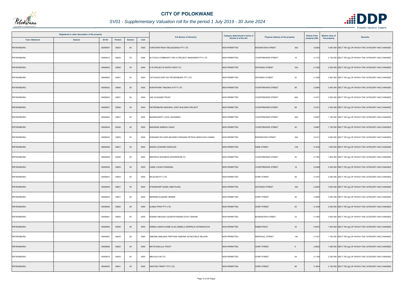

| Registered or other description of the property |               |          |                |                | <b>Full Names of Owner(s)</b> | <b>Category determined in terms of</b>                | Physical address of the property | <b>Extent of the</b>             | <b>Market value of</b> | <b>Remarks</b> |                                                           |
|-------------------------------------------------|---------------|----------|----------------|----------------|-------------------------------|-------------------------------------------------------|----------------------------------|----------------------------------|------------------------|----------------|-----------------------------------------------------------|
| <b>Town Allotment</b>                           | <b>Suburb</b> | Erf Nr   | <b>Portion</b> | <b>Section</b> | Unit                          |                                                       | Section 8 of the Act             |                                  | property (HA)          | the property   |                                                           |
| <b>PIETERSBURG</b>                              |               | 00000607 | 00003          | $00\,$         | 0000                          | VORSTERSTRAAT BELEGGINGS PTY LTD                      | <b>NON PERMITTED</b>             | <b>BODENSTEIN STREET</b><br>30A  | 0.0920                 |                | 3 000 000 SECT 78(1)(g) OF WHICH THE CATEGORY HAS CHANGED |
| PIETERSBURG                                     |               | 00000612 | 00004          | $00\,$         | 0000                          | IN TOUCH COMMUNITY DEV & PROJECT MANAGERS PTY LTD     | <b>NON PERMITTED</b>             | <b>VOORTREKKER STREET</b><br>19  | 0.1772                 |                | 2 100 000 SECT 78(1)(g) OF WHICH THE CATEGORY HAS CHANGED |
| <b>PIETERSBURG</b>                              |               | 00000622 | 00000          | $00\,$         | 0000                          | D W PROJECTS NORTH WEST CC                            | <b>NON PERMITTED</b>             | <b>DEVENISH STREET</b><br>32A    | 0.1428                 |                | 2 200 000 SECT 78(1)(g) OF WHICH THE CATEGORY HAS CHANGED |
| PIETERSBURG                                     |               | 00000622 | 00001          | $00\,$         | 0000                          | VICTAURUS ERF 622 PIETERSBURG PTY LTD                 | <b>NON PERMITTED</b>             | 32<br><b>DEVENISH STREET</b>     | 0.1428                 |                | 2 500 000 SECT 78(1)(g) OF WHICH THE CATEGORY HAS CHANGED |
| <b>PIETERSBURG</b>                              |               | 00000622 | 00006          | $00\,$         | 0000                          | NORTHPARK TRADING 45 PTY LTD                          | <b>NON PERMITTED</b>             | 88<br><b>VOORTREKKER STREET</b>  | 0.2854                 |                | 3 500 000 SECT 78(1)(g) OF WHICH THE CATEGORY HAS CHANGED |
| PIETERSBURG                                     |               | 00000623 | 00001          | $00\,$         | 0000                          | JAN OLWAGEN TRUST                                     | <b>NON PERMITTED</b>             | 82A<br><b>VOORTREKKER STREET</b> | 0.1071                 |                | 2 000 000 SECT 78(1)(g) OF WHICH THE CATEGORY HAS CHANGED |
| PIETERSBURG                                     |               | 00000627 | 00000          | $00\,$         | 0000                          | PIETERSBURG MASONIC JOINT BUILDING PROJECT            | <b>NON PERMITTED</b>             | 66<br><b>VOORTREKKER STREET</b>  | 0.3331                 |                | 3 300 000 SECT 78(1)(g) OF WHICH THE CATEGORY HAS CHANGED |
| PIETERSBURG                                     |               | 00000634 | 00001          | $00\,$         | 0000                          | <b>BADENHORST LOUIS JOHANNES</b>                      | <b>NON PERMITTED</b>             | <b>VOORTREKKER STREET</b><br>40A | 0.0967                 |                | 1 700 000 SECT 78(1)(g) OF WHICH THE CATEGORY HAS CHANGED |
| <b>PIETERSBURG</b>                              |               | 00000634 | 00002          | $00\,$         | 0000                          | MANGENA MABOKU ISAAC                                  | <b>NON PERMITTED</b>             | <b>VOORTREKKER STREET</b><br>40  | 0.0967                 |                | 1 700 000 SECT 78(1)(g) OF WHICH THE CATEGORY HAS CHANGED |
| PIETERSBURG                                     |               | 00000634 | 00003          | $00\,$         | 0000                          | WIENAND RAYLEEN MILDRED WIENAND PETRUS ARNOLDUS HUMAN | <b>NON PERMITTED</b>             | 32A<br><b>BODENSTEIN STREET</b>  | 0.2141                 |                | 2 600 000 SECT 78(1)(g) OF WHICH THE CATEGORY HAS CHANGED |
| <b>PIETERSBURG</b>                              |               | 00000638 | 00001          | $00\,$         | 0000                          | <b>BAKER LEONARD KNOWLES</b>                          | <b>NON PERMITTED</b>             | RABE STREET<br>31B               | 0.1635                 |                | 1 600 000 SECT 78(1)(g) OF WHICH THE CATEGORY HAS CHANGED |
| PIETERSBURG                                     |               | 00000638 | 00004          | $00\,$         | 0000                          | MINTIRHO BUSINESS ENTERPRISE CC                       | <b>NON PERMITTED</b>             | <b>VOORTREKKER STREET</b><br>22  | 0.1784                 |                | 1 800 000 SECT 78(1)(g) OF WHICH THE CATEGORY HAS CHANGED |
| PIETERSBURG                                     |               | 00000639 | 00003          | $00\,$         | 0000                          | LINDE LOUISA FRANSINA                                 | <b>NON PERMITTED</b>             | <b>VOORTREKKER STREET</b><br>18  | 0.2498                 |                | 4 500 000 SECT 78(1)(g) OF WHICH THE CATEGORY HAS CHANGED |
| PIETERSBURG                                     |               | 00000647 | 00003          | $00\,$         | 0000                          | <b>BICACON PTY LTD</b>                                | <b>NON PERMITTED</b>             | 95<br>DORP STREET                | 0.1047                 |                | 2 000 000 SECT 78(1)(g) OF WHICH THE CATEGORY HAS CHANGED |
| PIETERSBURG                                     |               | 00000649 | 00001          | $00\,$         | 0000                          | STEENKAMP DANIEL NEETHLING                            | <b>NON PERMITTED</b>             | <b>DEVENISH STREET</b><br>34A    | 0.2260                 |                | 3 000 000 SECT 78(1)(g) OF WHICH THE CATEGORY HAS CHANGED |
| PIETERSBURG                                     |               | 00000654 | 00001          | 00             | 0000                          | BIERMAN ELMARIE HERMIE                                | <b>NON PERMITTED</b>             | DORP STREET<br>65                | 0.2855                 |                | 3 500 000 SECT 78(1)(g) OF WHICH THE CATEGORY HAS CHANGED |
| <b>PIETERSBURG</b>                              |               | 00000655 | 00002          | $00\,$         | 0000                          | ALMAG PROP PTY LTD                                    | NON PERMITTED                    | DORP STREET<br>63                | 0.1249                 |                | 2 500 000 SECT 78(1)(g) OF WHICH THE CATEGORY HAS CHANGED |
| <b>PIETERSBURG</b>                              |               | 00000661 | 00003          | $00\,$         | 0000                          | NGEMA SIBUSISO QUENTIN NGEMA EVAH TSAKANI             | <b>NON PERMITTED</b>             | 34<br><b>BODENSTEIN STREET</b>   | 0.1400                 |                | 3 500 000 SECT 78(1)(g) OF WHICH THE CATEGORY HAS CHANGED |
| PIETERSBURG                                     |               | 00000664 | 00005          | $00\,$         | 0000                          | DEBEILA MANTLHOME OLGA DEBEILA SERIPELE OZYMANCIOUS   | <b>NON PERMITTED</b>             | <b>RABESTRAAT</b><br>34          | 0.0672                 |                | 1 400 000 SECT 78(1)(g) OF WHICH THE CATEGORY HAS CHANGED |
| <b>PIETERSBURG</b>                              |               | 00000667 | 00003          | 00             | 0000                          | SEBONE MABJANA PERTUNIA SEBONE DICHECHELE NELSON      | <b>NON PERMITTED</b>             | 146<br>MARSHALL STREET           | 0.1327                 |                | 1 700 000 SECT 78(1)(g) OF WHICH THE CATEGORY HAS CHANGED |
| PIETERSBURG                                     |               | 00000668 | 00002          | $00\,$         | 0000                          | <b>MATSI MAILULA TRUST</b>                            | <b>NON PERMITTED</b>             | <b>DORP STREET</b><br>9          | 0.0952                 |                | 1 600 000 SECT 78(1)(g) OF WHICH THE CATEGORY HAS CHANGED |
| PIETERSBURG                                     |               | 00000674 | 00003          | 00             | 0000                          | MEHLALA INV CC                                        | <b>NON PERMITTED</b>             | DORP STREET<br>94                | 0.1196                 |                | 2 200 000 SECT 78(1)(g) OF WHICH THE CATEGORY HAS CHANGED |
| PIETERSBURG                                     |               | 00000676 | 00001          | $00\,$         | 0000                          | ANOITED TRINITY PTY LTD                               | <b>NON PERMITTED</b>             | <b>DORP STREET</b><br>86         | 0.1664                 |                | 2 100 000 SECT 78(1)(g) OF WHICH THE CATEGORY HAS CHANGED |

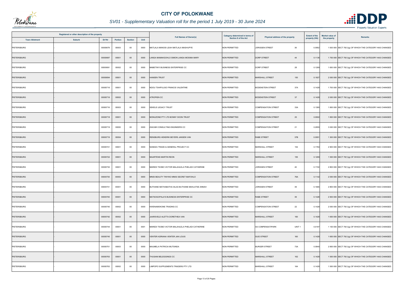

|                       | Registered or other description of the property |                |                |      | <b>Full Names of Owner(s)</b>                   | Category determined in terms of | Physical address of the property              | <b>Extent of the</b> | <b>Market value of</b><br><b>Remarks</b>                  |  |
|-----------------------|-------------------------------------------------|----------------|----------------|------|-------------------------------------------------|---------------------------------|-----------------------------------------------|----------------------|-----------------------------------------------------------|--|
| <b>Town Allotment</b> | <b>Erf Nr</b><br><b>Suburb</b>                  | <b>Portion</b> | <b>Section</b> | Unit |                                                 | <b>Section 8 of the Act</b>     |                                               | property (HA)        | the property                                              |  |
| PIETERSBURG           | 00000679                                        | 00003          | $00\,$         | 0000 | MATLALA MANOSI LEAH MATLALA MASHUPYE            | <b>NON PERMITTED</b>            | 36<br><b>JORISSEN STREET</b>                  | 0.0952               | 1 500 000 SECT 78(1)(g) OF WHICH THE CATEGORY HAS CHANGED |  |
| PIETERSBURG           | 00000687                                        | 00001          | $00\,$         | 0000 | LANGA MAMAKGOHLO SIMON LANGA MOSIMA MARY        | NON PERMITTED                   | <b>DORP STREET</b><br>44                      | 0.1136               | 1 700 000 SECT 78(1)(g) OF WHICH THE CATEGORY HAS CHANGED |  |
| PIETERSBURG           | 00000691                                        | 00002          | $00\,$         | 0000 | MABETINYI BUSINESS ENTERPRISE CC                | <b>NON PERMITTED</b>            | DORP STREET<br>28                             | 0.1269               | 1 650 000 SECT 78(1)(g) OF WHICH THE CATEGORY HAS CHANGED |  |
| PIETERSBURG           | 00000694                                        | 00001          | $00\,$         | 0000 | HANSEN TRUST                                    | <b>NON PERMITTED</b>            | <b>MARSHALL STREET</b><br>150                 | 0.1927               | 2 000 000 SECT 78(1)(g) OF WHICH THE CATEGORY HAS CHANGED |  |
| PIETERSBURG           | 00000716                                        | 00001          | $00\,$         | 0000 | NDOU TSHIPULISO FRANCIS VALENTINE               | <b>NON PERMITTED</b>            | 37A<br><b>BODENSTEIN STREET</b>               | 0.1428               | 1 700 000 SECT 78(1)(g) OF WHICH THE CATEGORY HAS CHANGED |  |
| <b>PIETERSBURG</b>    | 00000716                                        | 00002          | $00\,$         | 0000 | <b>ITROPIEN CC</b>                              | <b>NON PERMITTED</b>            | 37<br><b>BODENSTEIN STREET</b>                | 0.1428               | 2 000 000 SECT 78(1)(g) OF WHICH THE CATEGORY HAS CHANGED |  |
| PIETERSBURG           | 00000716                                        | 00003          | $00\,$         | 0000 | SEKELE LEGACY TRUST                             | <b>NON PERMITTED</b>            | 33A<br><b>COMPENSATION STREET</b>             | 0.1380               | 1 800 000 SECT 78(1)(g) OF WHICH THE CATEGORY HAS CHANGED |  |
| <b>PIETERSBURG</b>    | 00000718                                        | 00001          | $00\,$         | 0000 | MONUZONE PTY LTD BONNY DOON TRUST               | <b>NON PERMITTED</b>            | 25<br><b>COMPENSATION STREET</b>              | 0.0902               | 1 800 000 SECT 78(1)(g) OF WHICH THE CATEGORY HAS CHANGED |  |
| PIETERSBURG           | 00000719                                        | 00000          | 00             | 0000 | ZAKUMI CONSULTING ENGINEERS CC                  | <b>NON PERMITTED</b>            | 21<br><b>COMPENSATION STREET</b>              | 0.2855               | 3 000 000 SECT 78(1)(g) OF WHICH THE CATEGORY HAS CHANGED |  |
| PIETERSBURG           | 00000719                                        | 00004          | $00\,$         | 0000 | RENSBURG HENDRIK BEYERS JANSEN VAN              | <b>NON PERMITTED</b>            | RABE STREET<br>37B                            | 0.0951               | 1 300 000 SECT 78(1)(g) OF WHICH THE CATEGORY HAS CHANGED |  |
| PIETERSBURG           | 00000721                                        | 00001          | 00             | 0000 | NANDZU TRADE & GENERAL PROJECT CC               | <b>NON PERMITTED</b>            | 154<br>MARSHALL STREET                        | 0.1784               | 2 900 000 SECT 78(1)(g) OF WHICH THE CATEGORY HAS CHANGED |  |
| <b>PIETERSBURG</b>    | 00000722                                        | 00001          | $00\,$         | 0000 | <b>MAARTENS MARTIN REON</b>                     | <b>NON PERMITTED</b>            | MARSHALL STREET<br>155                        | 0.1269               | 1 500 000 SECT 78(1)(g) OF WHICH THE CATEGORY HAS CHANGED |  |
| <b>PIETERSBURG</b>    | 00000730                                        | 00001          | $00\,$         | 0000 | MAREDI TSOBO VICTOR MALAHLELA PHELADI CATHERINE | <b>NON PERMITTED</b>            | <b>JORISSEN STREET</b><br>40                  | 0.1722               | 2 800 000 SECT 78(1)(g) OF WHICH THE CATEGORY HAS CHANGED |  |
| <b>PIETERSBURG</b>    | 00000730                                        | 00003          | $00\,$         | 0000 | MNISI BEAUTY TINYIKO MNISI SECRET MAFOHLO       | <b>NON PERMITTED</b>            | <b>COMPENSATION STREET</b><br>76A             | 0.1142               | 2 000 000 SECT 78(1)(g) OF WHICH THE CATEGORY HAS CHANGED |  |
| PIETERSBURG           | 00000731                                        | 00001          | $00\,$         | 0000 | BUTHANE MATHABATHA SILAS BUTHANE MAHLATSE ANNAH | <b>NON PERMITTED</b>            | 39<br><b>JORISSEN STREET</b>                  | 0.1665               | 2 800 000 SECT 78(1)(g) OF WHICH THE CATEGORY HAS CHANGED |  |
| <b>PIETERSBURG</b>    | 00000740                                        | 00001          | $00\,$         | 0000 | MATSOGOPALA'S BUSINESS ENTERPRISE CC            | <b>NON PERMITTED</b>            | RABE STREET<br>39                             | 0.1428               | 2 500 000 SECT 78(1)(g) OF WHICH THE CATEGORY HAS CHANGED |  |
| PIETERSBURG           | 00000740                                        | 00002          | $00\,$         | 0000 | KWENAMOKONE TRADING CC                          | <b>NON PERMITTED</b>            | <b>COMPENSATION STREET</b><br>22              | 0.1428               | 2 000 000 SECT 78(1)(g) OF WHICH THE CATEGORY HAS CHANGED |  |
| <b>PIETERSBURG</b>    | 00000742                                        | 00002          | $00\,$         | 0000 | JAARSVELD ALETTA DORETHEA VAN                   | <b>NON PERMITTED</b>            | MARSHALL STREET<br>160                        | 0.1428               | 1 600 000 SECT 78(1)(g) OF WHICH THE CATEGORY HAS CHANGED |  |
| PIETERSBURG           | 00000744                                        | 00001          | $00\,$         | 0001 | MAREDI TSOBO VICTOR MALAHLELA PHELADI CATHERINE | <b>NON PERMITTED</b>            | UNIT <sub>1</sub><br><b>SS COMPENSATIPARK</b> | 0.0187               | 1 100 000 SECT 78(1)(g) OF WHICH THE CATEGORY HAS CHANGED |  |
| <b>PIETERSBURG</b>    | 00000745                                        | 00001          | $00\,$         | 0000 | VENTER ADRIANA VENTER JAN LOUIS                 | <b>NON PERMITTED</b>            | <b>SUID STREET</b><br>160                     | 0.1428               | 1 600 000 SECT 78(1)(g) OF WHICH THE CATEGORY HAS CHANGED |  |
| PIETERSBURG           | 00000751                                        | 00003          | $00\,$         | 0000 | MAUMELA PATRICIA MUTSINDA                       | <b>NON PERMITTED</b>            | 73A<br><b>BURGER STREET</b>                   | 0.0940               | 2 800 000 SECT 78(1)(g) OF WHICH THE CATEGORY HAS CHANGED |  |
| PIETERSBURG           | 00000763                                        | 00001          | $00\,$         | 0000 | THUSANI BELEGGINGS CC                           | <b>NON PERMITTED</b>            | 162<br>MARSHALL STREET                        | 0.1428               | 1 500 000 SECT 78(1)(g) OF WHICH THE CATEGORY HAS CHANGED |  |
| PIETERSBURG           | 00000763                                        | 00002          | $00\,$         | 0000 | LIMPOPO SUPPLEMENTS TRADERS PTY LTD             | <b>NON PERMITTED</b>            | MARSHALL STREET<br>164                        | 0.1428               | 1 500 000 SECT 78(1)(g) OF WHICH THE CATEGORY HAS CHANGED |  |

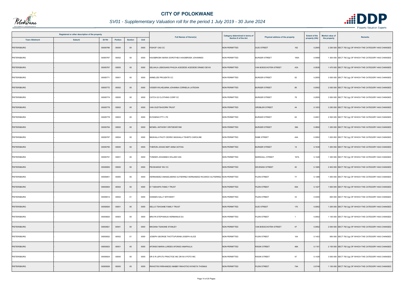

|                       | Registered or other description of the property |          |         |                |      | <b>Full Names of Owner(s)</b>                                             | <b>Category determined in terms of</b> | Physical address of the property | <b>Extent of the</b> | <b>Market value of</b><br><b>Remarks</b> |                                                           |
|-----------------------|-------------------------------------------------|----------|---------|----------------|------|---------------------------------------------------------------------------|----------------------------------------|----------------------------------|----------------------|------------------------------------------|-----------------------------------------------------------|
| <b>Town Allotment</b> | <b>Suburb</b>                                   | Erf Nr   | Portion | <b>Section</b> | Unit |                                                                           | Section 8 of the Act                   |                                  | property (HA)        | the property                             |                                                           |
| <b>PIETERSBURG</b>    |                                                 | 00000766 | 00000   | $00\,$         | 0000 | FISHOF 1242 CC                                                            | <b>NON PERMITTED</b>                   | <b>SUID STREET</b><br>162        | 0.2855               |                                          | 2 200 000 SECT 78(1)(g) OF WHICH THE CATEGORY HAS CHANGED |
| PIETERSBURG           |                                                 | 00000767 | 00002   | $00\,$         | 0000 | HAASBROEK MARIA DOROTHEA HAASBROEK JOHANNES                               | <b>NON PERMITTED</b>                   | <b>BURGER STREET</b><br>106A     | 0.0968               |                                          | 1 300 000 SECT 78(1)(g) OF WHICH THE CATEGORY HAS CHANGED |
| <b>PIETERSBURG</b>    |                                                 | 00000767 | 00005   | $00\,$         | 0000 | SELAHLA LEBOGANG PHILDA ACEDEDE ACEDEDE DRABO DEVIS                       | <b>NON PERMITTED</b>                   | 43A<br>VAN BOESCHOTEN STREET     | 0.0936               |                                          | 1 470 000 SECT 78(1)(g) OF WHICH THE CATEGORY HAS CHANGED |
| PIETERSBURG           |                                                 | 00000771 | 00001   | $00\,$         | 0000 | ANNELIZE PROJEKTE CC                                                      | <b>NON PERMITTED</b>                   | 92<br><b>BURGER STREET</b>       | 0.2855               |                                          | 3 500 000 SECT 78(1)(g) OF WHICH THE CATEGORY HAS CHANGED |
| PIETERSBURG           |                                                 | 00000772 | 00002   | $00\,$         | 0000 | VISSER WILHELMINA JOHANNA CORNELIA LATEGAN                                | <b>NON PERMITTED</b>                   | 86<br><b>BURGER STREET</b>       | 0.0952               |                                          | 2 000 000 SECT 78(1)(g) OF WHICH THE CATEGORY HAS CHANGED |
| PIETERSBURG           |                                                 | 00000774 | 00000   | $00\,$         | 0000 | CATCH 22 CLOTHING CORP CC                                                 | <b>NON PERMITTED</b>                   | 78<br><b>BURGER STREET</b>       | 0.2855               |                                          | 3 500 000 SECT 78(1)(g) OF WHICH THE CATEGORY HAS CHANGED |
| PIETERSBURG           |                                                 | 00000778 | 00002   | $00\,$         | 0000 | VAN OUDTSHOORN TRUST                                                      | <b>NON PERMITTED</b>                   | <b>GROBLER STREET</b><br>44      | 0.1053               |                                          | 3 250 000 SECT 78(1)(g) OF WHICH THE CATEGORY HAS CHANGED |
| <b>PIETERSBURG</b>    |                                                 | 00000778 | 00003   | $00\,$         | 0000 | <b>EVOGENIX PTY LTD</b>                                                   | <b>NON PERMITTED</b>                   | <b>BURGER STREET</b><br>62       | 0.0901               |                                          | 2 500 000 SECT 78(1)(g) OF WHICH THE CATEGORY HAS CHANGED |
| PIETERSBURG           |                                                 | 00000784 | 00002   | $00\,$         | 0000 | MCNEIL ANTHONY ORITSEWEYIMI                                               | <b>NON PERMITTED</b>                   | <b>BURGER STREET</b><br>38A      | 0.0892               |                                          | 1 200 000 SECT 78(1)(g) OF WHICH THE CATEGORY HAS CHANGED |
| PIETERSBURG           |                                                 | 00000787 | 00004   | $00\,$         | 0000 | MASHALA PHUTI CEDRIC MASHALA TSHEPO CAROLINE                              | <b>NON PERMITTED</b>                   | 44A<br>RABE STREET               | 0.0952               |                                          | 1 000 000 SECT 78(1)(g) OF WHICH THE CATEGORY HAS CHANGED |
| <b>PIETERSBURG</b>    |                                                 | 00000790 | 00000   | $00\,$         | 0000 | HERON JOHAN SMIT ANNA SOTHIA                                              | <b>NON PERMITTED</b>                   | <b>BURGER STREET</b><br>14       | 0.1639               |                                          | 1 250 000 SECT 78(1)(g) OF WHICH THE CATEGORY HAS CHANGED |
| PIETERSBURG           |                                                 | 00000791 | 00001   | $00\,$         | 0000 | TONDER JOHANNES WILLEM VAN                                                | <b>NON PERMITTED</b>                   | <b>MARSHALL STREET</b><br>167A   | 0.1428               |                                          | 1 300 000 SECT 78(1)(g) OF WHICH THE CATEGORY HAS CHANGED |
| PIETERSBURG           |                                                 | 00000800 | 00000   | $00\,$         | 0000 | PEHSHARAF INV CC                                                          | <b>NON PERMITTED</b>                   | <b>DEVENISH STREET</b><br>45     | 0.1665               |                                          | 2 400 000 SECT 78(1)(g) OF WHICH THE CATEGORY HAS CHANGED |
| PIETERSBURG           |                                                 | 00000801 | 00000   | $00\,$         | 0000 | HERNANDEZ ANNAELMARIE GUTIERREZ HERNANDEZ RICARDO GUTIERREZ NON PERMITTED |                                        | 77<br>PLEIN STREET               | 0.1388               |                                          | 1 500 000 SECT 78(1)(g) OF WHICH THE CATEGORY HAS CHANGED |
| <b>PIETERSBURG</b>    |                                                 | 00000804 | 00002   | $00\,$         | 0000 | D T MAHAPA FAMILY TRUST                                                   | <b>NON PERMITTED</b>                   | PLEIN STREET<br>65A              | 0.1427               |                                          | 1 600 000 SECT 78(1)(g) OF WHICH THE CATEGORY HAS CHANGED |
| PIETERSBURG           |                                                 | 00000812 | 00002   | 01             | 0000 | HANSEN SALLY MYFANWY                                                      | <b>NON PERMITTED</b>                   | PLEIN STREET<br>33               | 0.0300               |                                          | 800 000 SECT 78(1)(g) OF WHICH THE CATEGORY HAS CHANGED   |
| <b>PIETERSBURG</b>    |                                                 | 00000820 | 00001   | $00\,$         | 0000 | SELLO TSHOANE FAMILY TRUST                                                | NON PERMITTED                          | <b>SUID STREET</b><br>170        | 0.0952               |                                          | 1 200 000 SECT 78(1)(g) OF WHICH THE CATEGORY HAS CHANGED |
| <b>PIETERSBURG</b>    |                                                 | 00000820 | 00003   | $00\,$         | 0000 | BRUYN STEPHANUS HERMANUS DU                                               | <b>NON PERMITTED</b>                   | PLEIN STREET<br>$\overline{1}$   | 0.0952               |                                          | 1 100 000 SECT 78(1)(g) OF WHICH THE CATEGORY HAS CHANGED |
| PIETERSBURG           |                                                 | 00000821 | 00001   | $00\,$         | 0000 | NKOANA TSAKANE STANLEY                                                    | <b>NON PERMITTED</b>                   | 47<br>VAN BOESCHOTEN STREET      | 0.0952               |                                          | 2 000 000 SECT 78(1)(g) OF WHICH THE CATEGORY HAS CHANGED |
| PIETERSBURG           |                                                 | 00000822 | 00002   | 01             | 0000 | JOSEPH GEORGE THOTTUPURAM JOSEPH ALICE                                    | <b>NON PERMITTED</b>                   | PLEIN STREET<br>104              | 0.1403               |                                          | 900 000 SECT 78(1)(g) OF WHICH THE CATEGORY HAS CHANGED   |
| PIETERSBURG           |                                                 | 00000823 | 00001   | $00\,$         | 0000 | AFONSO MARIA LURDES AFONSO ANAPAULA                                       | <b>NON PERMITTED</b>                   | <b>RISSIK STREET</b><br>48A      | 0.1181               |                                          | 2 100 000 SECT 78(1)(g) OF WHICH THE CATEGORY HAS CHANGED |
| PIETERSBURG           |                                                 | 00000824 | 00000   | $00\,$         | 0000 | DR S R LEPUTU PRACTICE INC DR M A POTO INC                                | <b>NON PERMITTED</b>                   | <b>RISSIK STREET</b><br>47       | 0.1428               |                                          | 3 000 000 SECT 78(1)(g) OF WHICH THE CATEGORY HAS CHANGED |
| PIETERSBURG           |                                                 | 00000829 | 00005   | $00\,$         | 0000 | RIKHOTSO RIRHANDZU MABBY RIKHOTSO NYIKETA THOMAS                          | NON PERMITTED                          | PLEIN STREET<br>74A              | 0.0748               |                                          | 1 100 000 SECT 78(1)(g) OF WHICH THE CATEGORY HAS CHANGED |

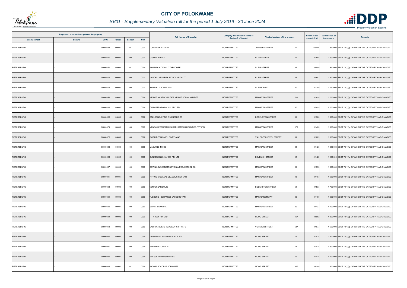

|                       | Registered or other description of the property |          |         |                |      | <b>Full Names of Owner(s)</b>                   | <b>Category determined in terms of</b> | Physical address of the property | <b>Extent of the</b> | <b>Market value of</b> | <b>Remarks</b>                                            |
|-----------------------|-------------------------------------------------|----------|---------|----------------|------|-------------------------------------------------|----------------------------------------|----------------------------------|----------------------|------------------------|-----------------------------------------------------------|
| <b>Town Allotment</b> | <b>Suburb</b>                                   | Erf Nr   | Portion | <b>Section</b> | Unit |                                                 | Section 8 of the Act                   |                                  | property (HA)        | the property           |                                                           |
| PIETERSBURG           |                                                 | 00000830 | 00001   | 01             | 0000 | <b>FURNIWIZE PTY LTD</b>                        | <b>NON PERMITTED</b>                   | JORISSEN STREET<br>47            | 0.0400               |                        | 950 000 SECT 78(1)(g) OF WHICH THE CATEGORY HAS CHANGED   |
| <b>PIETERSBURG</b>    |                                                 | 00000837 | 00000   | $00\,$         | 0000 | <b>CIGANA BRUNO</b>                             | <b>NON PERMITTED</b>                   | PLEIN STREET<br>42               | 0.2855               |                        | 2 000 000 SECT 78(1)(g) OF WHICH THE CATEGORY HAS CHANGED |
| PIETERSBURG           |                                                 | 00000840 | 00000   | 01             | 0000 | JANNASCH OSWALD THEODORE                        | <b>NON PERMITTED</b>                   | 32<br>PLEIN STREET               | 0.0500               |                        | 950 000 SECT 78(1)(g) OF WHICH THE CATEGORY HAS CHANGED   |
| <b>PIETERSBURG</b>    |                                                 | 00000842 | 00003   | $00\,$         | 0000 | MAFOKO SECURITY PATROLS PTY LTD                 | <b>NON PERMITTED</b>                   | PLEIN STREET<br>24               | 0.0952               |                        | 1 500 000 SECT 78(1)(g) OF WHICH THE CATEGORY HAS CHANGED |
| PIETERSBURG           |                                                 | 00000843 | 00003   | $00\,$         | 0000 | RYNEVELD SONJA VAN                              | <b>NON PERMITTED</b>                   | 20<br>PLEINSTRAAT                | 0.1250               |                        | 1 450 000 SECT 78(1)(g) OF WHICH THE CATEGORY HAS CHANGED |
| PIETERSBURG           |                                                 | 00000849 | 00002   | $00\,$         | 0000 | MERWE MARTIN VAN DER MERWE JOHAN VAN DER        | <b>NON PERMITTED</b>                   | <b>MAGASYN STREET</b><br>103     | 0.1428               |                        | 1 200 000 SECT 78(1)(g) OF WHICH THE CATEGORY HAS CHANGED |
| <b>PIETERSBURG</b>    |                                                 | 00000858 | 00001   | $00\,$         | 0000 | CANNISTRARO INV 115 PTY LTD                     | <b>NON PERMITTED</b>                   | 67<br><b>MAGASYN STREET</b>      | 0.2855               |                        | 2 200 000 SECT 78(1)(g) OF WHICH THE CATEGORY HAS CHANGED |
| <b>PIETERSBURG</b>    |                                                 | 00000865 | 00000   | $00\,$         | 0000 | SAZI CONSULTING ENGINEERS CC                    | <b>NON PERMITTED</b>                   | 50<br><b>BODENSTEIN STREET</b>   | 0.1586               |                        | 1 500 000 SECT 78(1)(g) OF WHICH THE CATEGORY HAS CHANGED |
| PIETERSBURG           |                                                 | 00000870 | 00003   | $00\,$         | 0000 | MENSAH EBENEZER KAIDABI RAMBAU HOLDINGS PTY LTD | NON PERMITTED                          | <b>MAGASYN STREET</b><br>17A     | 0.1428               |                        | 1 500 000 SECT 78(1)(g) OF WHICH THE CATEGORY HAS CHANGED |
| PIETERSBURG           |                                                 | 00000875 | 00000   | $00\,$         | 0000 | SMITH DEON SMITH CINDY JANE                     | <b>NON PERMITTED</b>                   | VAN BOESCHOTEN STREET<br>51      | 0.1089               |                        | 1 350 000 SECT 78(1)(g) OF WHICH THE CATEGORY HAS CHANGED |
| PIETERSBURG           |                                                 | 00000880 | 00000   | $00\,$         | 0000 | MAGLAND INV CC                                  | NON PERMITTED                          | 88<br>MAGASYN STREET             | 0.1428               |                        | 1 350 000 SECT 78(1)(g) OF WHICH THE CATEGORY HAS CHANGED |
| <b>PIETERSBURG</b>    |                                                 | 00000880 | 00002   | $00\,$         | 0000 | BUNKER HILLS INV 436 PTY LTD                    | NON PERMITTED                          | 52<br><b>DEVENISH STREET</b>     | 0.1428               |                        | 1 600 000 SECT 78(1)(g) OF WHICH THE CATEGORY HAS CHANGED |
| PIETERSBURG           |                                                 | 00000887 | 00003   | $00\,$         | 0000 | DOWN LOW CONSTRUCTION & PROJECTS 32 CC          | NON PERMITTED                          | MAGASYN STREET<br>60             | 0.1398               |                        | 1 800 000 SECT 78(1)(g) OF WHICH THE CATEGORY HAS CHANGED |
| <b>PIETERSBURG</b>    |                                                 | 00000891 | 00001   | $00\,$         | 0000 | PITTIUS NICOLAAS CLAUDIUS GEY VAN               | <b>NON PERMITTED</b>                   | 42<br><b>MAGASYN STREET</b>      | 0.1467               |                        | 1 600 000 SECT 78(1)(g) OF WHICH THE CATEGORY HAS CHANGED |
| PIETERSBURG           |                                                 | 00000893 | 00000   | $00\,$         | 0000 | VENTER JAN LOUIS                                | NON PERMITTED                          | <b>BODENSTEIN STREET</b><br>51   | 0.1833               |                        | 1 700 000 SECT 78(1)(g) OF WHICH THE CATEGORY HAS CHANGED |
| <b>PIETERSBURG</b>    |                                                 | 00000894 | 00000   | $00\,$         | 0000 | TUBBERGH JOHANNES JACOBUS VAN                   | NON PERMITTED                          | MAGAZYNSTRAAT<br>32              | 0.1460               |                        | 1 600 000 SECT 78(1)(g) OF WHICH THE CATEGORY HAS CHANGED |
| PIETERSBURG           |                                                 | 00000894 | 00001   | $00\,$         | 0000 | SWARTZ SANDRA                                   | NON PERMITTED                          | 30<br>MAGASYN STREET             | 0.1427               |                        | 1 400 000 SECT 78(1)(g) OF WHICH THE CATEGORY HAS CHANGED |
| PIETERSBURG           |                                                 | 00000899 | 00002   | $00\,$         | 0000 | TTK 1281 PTY LTD                                | NON PERMITTED                          | 107<br><b>HOOG STREET</b>        | 0.0952               |                        | 1 300 000 SECT 78(1)(g) OF WHICH THE CATEGORY HAS CHANGED |
| PIETERSBURG           |                                                 | 00000913 | 00000   | $00\,$         | 0000 | GARRUN BOERE MAKELAARS PTY LTD                  | NON PERMITTED                          | <b>VORSTER STREET</b><br>54A     | 0.1077               |                        | 1 500 000 SECT 78(1)(g) OF WHICH THE CATEGORY HAS CHANGED |
| <b>PIETERSBURG</b>    |                                                 | 00000931 | 00000   | $00\,$         | 0000 | MUSHWANA NYANKWAVI NYELETI                      | NON PERMITTED                          | <b>HOOG STREET</b><br>76         | 0.1428               |                        | 2 600 000 SECT 78(1)(g) OF WHICH THE CATEGORY HAS CHANGED |
| PIETERSBURG           |                                                 | 00000931 | 00002   | $00\,$         | 0000 | VERVEEN YOLANDA                                 | NON PERMITTED                          | <b>HOOG STREET</b><br>74         | 0.1428               |                        | 1 800 000 SECT 78(1)(g) OF WHICH THE CATEGORY HAS CHANGED |
| <b>PIETERSBURG</b>    |                                                 | 00000936 | 00001   | $00\,$         | 0000 | ERF 936 PIETERSBURG CC                          | <b>NON PERMITTED</b>                   | <b>HOOG STREET</b><br>56         | 0.1428               |                        | 1 400 000 SECT 78(1)(g) OF WHICH THE CATEGORY HAS CHANGED |
| PIETERSBURG           |                                                 | 00000936 | 00002   | 01             | 0000 | JACOBS JOCOBUS JOHANNES                         | NON PERMITTED                          | <b>HOOG STREET</b><br>56A        | 0.0200               |                        | 600 000 SECT 78(1)(g) OF WHICH THE CATEGORY HAS CHANGED   |

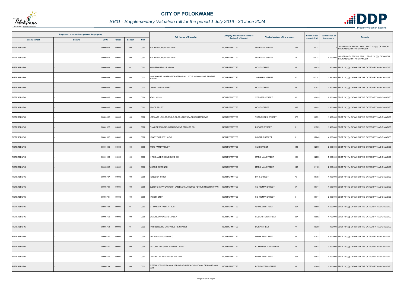

|                       | Registered or other description of the property |          |         |                |      | <b>Full Names of Owner(s)</b>                                    | <b>Category determined in terms of</b> | Physical address of the property                 | <b>Extent of the</b> | <b>Market value of</b> | <b>Remarks</b>                                                                           |
|-----------------------|-------------------------------------------------|----------|---------|----------------|------|------------------------------------------------------------------|----------------------------------------|--------------------------------------------------|----------------------|------------------------|------------------------------------------------------------------------------------------|
| <b>Town Allotment</b> | Suburb                                          | Erf Nr   | Portion | <b>Section</b> | Unit |                                                                  | Section 8 of the Act                   |                                                  | property (HA)        | the property           |                                                                                          |
| PIETERSBURG           |                                                 | 00000952 | 00000   | $00\,$         | 0000 | VALKER DOUGLAS OLIVER                                            | <b>NON PERMITTED</b>                   | <b>DEVENISH STREET</b><br>58A                    | 0.1737               |                        | 0<br>THE CATEGORY HAS CHANGED<br>THE CATEGORY HAS CHANGED                                |
| PIETERSBURG           |                                                 | 00000952 | 00001   | 00             | 0000 | WALKER DOUGLAS OLIVER                                            | NON PERMITTED                          | DEVENISH STREET<br>58                            | 0.1737               |                        | 6 600 000 VALUED WITH ERF 952 PTN 1 / SECT 78(1)(g) OF WHICH<br>THE CATEGORY HAS CHANGED |
| PIETERSBURG           |                                                 | 00000953 | 00006   | 01             | 0000 | HALBERG NEVILLE VIVIAN                                           | NON PERMITTED                          | <b>OOST STREET</b><br>81                         | 0.0075               |                        | 500 000 SECT 78(1)(g) OF WHICH THE CATEGORY HAS CHANGED                                  |
| PIETERSBURG           |                                                 | 00000956 | 00000   | 00             | 0000 | MOKONYANE MARTHA MOLATELO PHILLISTUS MOKONYANE PHASHE<br>RUFFAT  | NON PERMITTED                          | JORISSEN STREET<br>57                            | 0.2101               |                        | 1 950 000 SECT 78(1)(g) OF WHICH THE CATEGORY HAS CHANGED                                |
| <b>PIETERSBURG</b>    |                                                 | 00000958 | 00001   | $00\,$         | 0000 | LANGA MOSIMA MARY                                                | NON PERMITTED                          | <b>OOST STREET</b><br>63                         | 0.2022               |                        | 1 800 000 SECT 78(1)(g) OF WHICH THE CATEGORY HAS CHANGED                                |
| PIETERSBURG           |                                                 | 00000961 | 00000   | $00\,$         | 0000 | NDOU MPHO                                                        | <b>NON PERMITTED</b>                   | 58<br><b>VORSTER STREET</b>                      | 0.2855               |                        | 2 600 000 SECT 78(1)(g) OF WHICH THE CATEGORY HAS CHANGED                                |
| <b>PIETERSBURG</b>    |                                                 | 00000961 | 00001   | $00\,$         | 0000 | <b>PACOR TRUST</b>                                               | NON PERMITTED                          | <b>OOST STREET</b><br>51A                        | 0.0952               |                        | 1 600 000 SECT 78(1)(g) OF WHICH THE CATEGORY HAS CHANGED                                |
| <b>PIETERSBURG</b>    |                                                 | 00000962 | 00000   | $00\,$         | 0000 | EDWABA LEHLOGONOLO SILAS LEDWABA THABO MATHEWS                   | <b>NON PERMITTED</b>                   | 57B<br>THABO MBEKI STREET                        | 0.0951               |                        | 1 400 000 SECT 78(1)(g) OF WHICH THE CATEGORY HAS CHANGED                                |
| PIETERSBURG           |                                                 | 00001522 | 00000   | $00\,$         | 0000 | PHAKI PERSONNEL MANAGEMENT SERVICE CC                            | <b>NON PERMITTED</b>                   | <b>BURGER STREET</b><br>8                        | 0.1903               |                        | 1450 000 SECT 78(1)(g) OF WHICH THE CATEGORY HAS CHANGED                                 |
| PIETERSBURG           |                                                 | 00001532 | 00001   | $00\,$         | 0000 | HONEY POT INV 110 CC                                             | <b>NON PERMITTED</b>                   | <b>BICCARD STREET</b><br>$\overline{\mathbf{3}}$ | 0.2046               |                        | 4 500 000 SECT 78(1)(g) OF WHICH THE CATEGORY HAS CHANGED                                |
| PIETERSBURG           |                                                 | 00001965 | 00002   | $00\,$         | 0000 | RAMS FAMILY TRUST                                                | NON PERMITTED                          | <b>SUID STREET</b><br>146                        | 0.2070               |                        | 2 500 000 SECT 78(1)(g) OF WHICH THE CATEGORY HAS CHANGED                                |
| <b>PIETERSBURG</b>    |                                                 | 00001966 | 00000   | $00\,$         | 0000 | H T DE JAGER EIENDOMME CC                                        | NON PERMITTED                          | 101<br>MARSHALL STREET                           | 0.2855               |                        | 5 400 000 SECT 78(1)(g) OF WHICH THE CATEGORY HAS CHANGED                                |
| PIETERSBURG           |                                                 | 00005692 | 00001   | $00\,$         | 0000 | /ISAGIE SURONAH                                                  | <b>NON PERMITTED</b>                   | <b>MARSHALL STREET</b><br>142                    | 0.1163               |                        | 2 200 000 SECT 78(1)(g) OF WHICH THE CATEGORY HAS CHANGED                                |
| PIETERSBURG           |                                                 | 00005727 | 00002   | 00             | 0000 | HENDEON TRUST                                                    | NON PERMITTED                          | 76<br><b>DAHL STREET</b>                         | 0.0797               |                        | 1 400 000 SECT 78(1)(g) OF WHICH THE CATEGORY HAS CHANGED                                |
| <b>PIETERSBURG</b>    |                                                 | 00005731 | 00001   | $00\,$         | 0000 | BLERK CHERAY JACKSON VAN BLERK JACQUES PETRUS FREDRICK VAN       | <b>NON PERMITTED</b>                   | <b>SCHOEMAN STREET</b><br>6A                     | 0.0714               |                        | 1 550 000 SECT 78(1)(g) OF WHICH THE CATEGORY HAS CHANGED                                |
| <b>PIETERSBURG</b>    |                                                 | 00005731 | 00002   | $00\,$         | 0000 | <b>HASSIM OMAR</b>                                               | NON PERMITTED                          | <b>SCHOEMAN STREET</b><br>6                      | 0.0714               |                        | 2 000 000 SECT 78(1)(g) OF WHICH THE CATEGORY HAS CHANGED                                |
| <b>PIETERSBURG</b>    |                                                 | 00005738 | 00003   | 01             | 0000 | D T MAHAPA FAMILY TRUST                                          | NON PERMITTED                          | <b>GROBLER STREET</b><br>35A                     | 0.0595               |                        | 1 500 000 SECT 78(1)(g) OF WHICH THE CATEGORY HAS CHANGED                                |
| PIETERSBURG           |                                                 | 00005752 | 00002   | $00\,$         | 0000 | MAKONDO VONANI STANLEY                                           | NON PERMITTED                          | <b>BODENSTEIN STREET</b><br>38A                  | 0.0952               |                        | 1 700 000 SECT 78(1)(g) OF WHICH THE CATEGORY HAS CHANGED                                |
| PIETERSBURG           |                                                 | 00005763 | 00000   | 01             | 0000 | HARTZENBERG CASPARUS REINHARDT                                   | NON PERMITTED                          | DORP STREET<br>7A                                | 0.0300               |                        | 400 000 SECT 78(1)(g) OF WHICH THE CATEGORY HAS CHANGED                                  |
| PIETERSBURG           |                                                 | 00005767 | 00000   | $00\,$         | 0000 | MUTEO CONSULTING CC                                              | NON PERMITTED                          | <b>GROBLER STREET</b><br>39                      | 0.2022               |                        | 4 000 000 SECT 78(1)(g) OF WHICH THE CATEGORY HAS CHANGED                                |
| PIETERSBURG           |                                                 | 00005767 | 00001   | $00\,$         | 0000 | MATOME MAKGOBE MAHAPA TRUST                                      | <b>NON PERMITTED</b>                   | <b>COMPENSATION STREET</b><br>58                 | 0.0922               |                        | 3 000 000 SECT 78(1)(g) OF WHICH THE CATEGORY HAS CHANGED                                |
| PIETERSBURG           |                                                 | 00005767 | 00004   | $00\,$         | 0000 | TRACKSTAR TRADING 61 PTY LTD                                     | NON PERMITTED                          | <b>GROBLER STREET</b><br>39A                     | 0.0922               |                        | 1 400 000 SECT 78(1)(g) OF WHICH THE CATEGORY HAS CHANGED                                |
| PIETERSBURG           |                                                 | 00005769 | 00000   | $00\,$         | 0000 | VESTHUIZEN MYRA VAN DER WESTHUIZEN CHRISTIAAN GERHARD VAN<br>DER | <b>VON PERMITTED</b>                   | <b>BODENSTEIN STREET</b><br>31                   | 0.2890               |                        | 2 800 000 SECT 78(1)(g) OF WHICH THE CATEGORY HAS CHANGED                                |

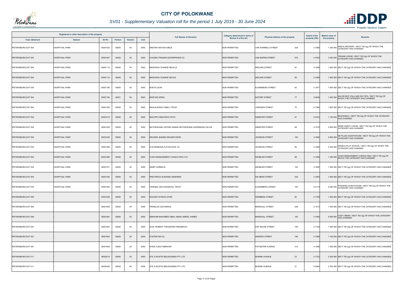

|                       | Registered or other description of the property |          |                |                |      | <b>Full Names of Owner(s)</b>                        | <b>Category determined in terms of</b> | Physical address of the property | <b>Extent of the</b> | <b>Market value of</b> | <b>Remarks</b>                                                                            |
|-----------------------|-------------------------------------------------|----------|----------------|----------------|------|------------------------------------------------------|----------------------------------------|----------------------------------|----------------------|------------------------|-------------------------------------------------------------------------------------------|
| <b>Town Allotment</b> | <b>Suburb</b>                                   | Erf Nr   | <b>Portion</b> | <b>Section</b> | Unit |                                                      | Section 8 of the Act                   |                                  | property (HA)        | the property           |                                                                                           |
| PIETERSBURG EXT 004   | <b>HOSPITAAL PARK</b>                           | 00001032 | 00000          | $00\,$         | 0000 | DREYER ANTON KOBUS                                   | NON PERMITTED                          | 52A<br>VAN WARMELO STREET        | 0.1586               |                        | DREYS ARCHERY / SECT 78(1)(g) OF WHICH THE<br>1 300 000 CATEGORY HAS CHANGED              |
| PIETERSBURG EXT 004   | <b>HOSPITAAL PARK</b>                           | 00001067 | 00000          | $00\,$         | 0000 | OLEMO TRADING ENTERPRISES CC                         | <b>NON PERMITTED</b>                   | 57A<br>VAN NISPEN STREET         | 0.1903               |                        | TIRHANI LODGE / SECT 78(1)(g) OF WHICH THE<br>3 200 000 CATEGORY HAS CHANGED              |
| PIETERSBURG EXT 004   | <b>HOSPITAAL PARK</b>                           | 00001113 | 00000          | $00\,$         | 0000 | MAWASHA THANKIE NEVILLE                              | <b>NON PERMITTED</b>                   | 67<br><b>IRELAND STREET</b>      | 0.1586               |                        | 1 500 000 SECT 78(1)(g) OF WHICH THE CATEGORY HAS CHANGED                                 |
| PIETERSBURG EXT 004   | <b>HOSPITAAL PARK</b>                           | 00001114 | 00000          | $00\,$         | 0000 | MAWASHA THANKIE NEVILE                               | <b>NON PERMITTED</b>                   | <b>IRELAND STREET</b><br>69      | 0.1586               |                        | 1 900 000 SECT 78(1)(g) OF WHICH THE CATEGORY HAS CHANGED                                 |
| PIETERSBURG EXT 004   | <b>HOSPITAAL PARK</b>                           | 00001180 | 00000          | $00\,$         | 0000 | ROETS LEON                                           | <b>NON PERMITTED</b>                   | 93<br><b>KLEINEBERG STREET</b>   | 0.167                |                        | 1 600 000 SECT 78(1)(g) OF WHICH THE CATEGORY HAS CHANGED                                 |
| PIETERSBURG EXT 004   | <b>HOSPITAAL PARK</b>                           | 00001183 | 00001          | $00\,$         | 0000 | BANTJES ERIKA                                        | <b>NON PERMITTED</b>                   | <b>NATORP STREET</b><br>77       | 0.0646               |                        | 1 600 000 SALON DEO VOLA AND DAY SPA / SECT 78(1)(g) OF<br>WHICH THE CATEGORY HAS CHANGED |
| PIETERSBURG EXT 004   | <b>HOSPITAAL PARK</b>                           | 00001202 | 00000          | $00\,$         | 0000 | <b>BAHLALERWA FAMILY TRUST</b>                       | NON PERMITTED                          | <b>JORISSEN STREET</b><br>75     | 0.1586               |                        | 1 800 000 SECT 78(1)(g) OF WHICH THE CATEGORY HAS CHANGED                                 |
| PIETERSBURG EXT 004   | <b>HOSPITAAL PARK</b>                           | 00001215 | 00000          | $00\,$         | 0000 | NDLOPFU MIKATEKO FAITH                               | <b>NON PERMITTED</b>                   | 67<br><b>WEBSTER STREET</b>      | 0.074                |                        | 1 100 000 MUKHUMULI / SECT 78(1)(g) OF WHICH THE CATEGORY<br><b>HAS CHANGED</b>           |
| PIETERSBURG EXT 004   | <b>HOSPITAAL PARK</b>                           | 00001226 | 00000          | $00\,$         | 0000 | MUTHEIWANA LEPONO ANNAH MUTHEIWANA AZWINNDINI CALVIN | <b>NON PERMITTED</b>                   | 68<br><b>WEBSTER STREET</b>      | 0.1575               |                        | SIDZE GUEST LODGE / SECT 78(1)(g) OF WHICH THE<br>2 900 000 CATEGORY HAS CHANGED          |
| PIETERSBURG EXT 004   | <b>HOSPITAAL PARK</b>                           | 00001235 | 00000          | $00\,$         | 0000 | KRUGER JEANNE KRUGER DEON                            | <b>NON PERMITTED</b>                   | JOHNSON STREET<br>100            | 0.1892               |                        | 2 800 000 DE PLAAS GUESTHOUSE / SECT 78(1)(g) OF WHICH THE<br>CATEGORY HAS CHANGED        |
| PIETERSBURG EXT 004   | <b>HOSPITAAL PARK</b>                           | 00001258 | 00000          | $00\,$         | 0000 | A M GROBLER PLAYSCHOOL CC                            | <b>NON PERMITTED</b>                   | 95<br><b>JOHNSON STREET</b>      | 0.1586               |                        | ANGELS PLAY SCHOOL / SECT 78(1)(g) OF WHICH THE<br>2 300 000 CATEGORY HAS CHANGED         |
| PIETERSBURG EXT 004   | <b>HOSPITAAL PARK</b>                           | 00001265 | 00000          | $00\,$         | 0000 | VUWA MANAGEMENT CONSULTING II CC                     | <b>NON PERMITTED</b>                   | <b>GROBLER STREET</b><br>88      | 0.1586               |                        | 1 500 000 VUWA MANAGEMENT CONSULTING / SECT 78(1)(g) OF                                   |
| PIETERSBURG EXT 004   | HOSPITAAL PARK                                  | 00001271 | 00000          | 00             | 0000 | <b>KEMP CORNELIS</b>                                 | <b>NON PERMITTED</b>                   | 100<br><b>GROBLER STREET</b>     | 0.1892               |                        | 1 900 000 SECT 78(1)(g) OF WHICH THE CATEGORY HAS CHANGED                                 |
| PIETERSBURG EXT 004   | <b>HOSPITAAL PARK</b>                           | 00001345 | 00000          | $00\,$         | 0000 | PRETORIUS SUSANNA HENDRINA                           | <b>NON PERMITTED</b>                   | <b>DIE MEER STREET</b><br>32A    | 0.1903               |                        | 1 800 000 SECT 78(1)(g) OF WHICH THE CATEGORY HAS CHANGED                                 |
| PIETERSBURG EXT 004   | HOSPITAAL PARK                                  | 00001530 | 00000          | $00\,$         | 0000 | VRIENDE VAN OOSSKOOL TRUST                           | NON PERMITTED                          | <b>KLEINEBERG STREET</b><br>100  | 0.4119               |                        | PHOKENG GUESTHOUSE / SECT 78(1)(g) OF WHICH THE<br>2 600 000 CATEGORY HAS CHANGED         |
| PIETERSBURG EXT 006   |                                                 | 00001538 | 00000          | $00\,$         | 0000 | KAGORI PATRICK GITEE                                 | <b>NON PERMITTED</b>                   | 82<br><b>GRIMBEEK STREET</b>     | 0.1708               |                        | 1 500 000 SECT 78(1)(g) OF WHICH THE CATEGORY HAS CHANGED                                 |
| PIETERSBURG EXT 006   |                                                 | 00001638 | 00000          | $00\,$         | 0000 | PRINSLOO ZACHARIAS                                   | NON PERMITTED                          | <b>MARSHALL STREET</b><br>228    | 0.1573               |                        | 1 400 000 SECT 78(1)(g) OF WHICH THE CATEGORY HAS CHANGED                                 |
| PIETERSBURG EXT 006   |                                                 | 00001681 | 00000          | $00\,$         | 0000 | EBRAHIM MAHOMED IQBAL OMAR JAMEEL AHMED              | <b>NON PERMITTED</b>                   | 193<br><b>MARSHALL STREET</b>    | 0.1585               |                        | 5 800 000 COZY CREEK / SECT 78(1)(g) OF WHICH THE CATEGORY<br>HAS CHANGED                 |
| PIETERSBURG EXT 007   |                                                 | 00001807 | 00000          | 00             | 0000 | KUHL ROBERT THEODORIS FREDERICH                      | NON PERMITTED                          | DAP NAUDE STREET<br>106          | 0.1725               |                        | 1 600 000 SECT 78(1)(g) OF WHICH THE CATEGORY HAS CHANGED                                 |
| PIETERSBURG EXT 007   |                                                 | 00001940 | 00000          | $00\,$         | 0000 | FOSTER IND CC                                        | NON PERMITTED                          | <b>ANDREW STREET</b><br>199      | 0.1586               |                        | 1 100 000 SECT 78(1)(g) OF WHICH THE CATEGORY HAS CHANGED                                 |
| PIETERSBURG EXT 007   |                                                 | 00001944 | 00000          | $00\,$         | 0000 | KHAN YUSUF EBRAHIM                                   | <b>NON PERMITTED</b>                   | POTGIETER AVENUE<br>214          | 0.1586               |                        | 1 500 000 SECT 78(1)(g) OF WHICH THE CATEGORY HAS CHANGED                                 |
| PIETERSBURG EXT 011   |                                                 | 00002319 | 00000          | $00\,$         | 0000 | STIL & RUSTIG BELEGGINGS PTY LTD                     | NON PERMITTED                          | 23<br><b>MUNNIK AVENUE</b>       | 0.1722               |                        | 2 500 000 SECT 78(1)(g) OF WHICH THE CATEGORY HAS CHANGED                                 |
| PIETERSBURG EXT 011   |                                                 | 00002320 | 00000          | $00\,$         | 0000 | STIL & RUSTIG BELEGGINGS PTY LTD                     | <b>NON PERMITTED</b>                   | <b>MUNNIK AVENUE</b><br>21       | 0.0994               |                        | 2 700 000 SECT 78(1)(g) OF WHICH THE CATEGORY HAS CHANGED                                 |

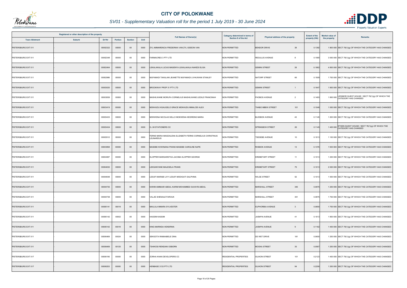

# *SV01 - Supplementary Valuation roll for the period 1 July 2019 - 30 June 2024*

|                       | Registered or other description of the property |          |         |                |      |                                                                        | <b>Category determined in terms of</b> | Physical address of the property     | <b>Extent of the</b> | <b>Market value of</b><br><b>Remarks</b> |                                                                                   |
|-----------------------|-------------------------------------------------|----------|---------|----------------|------|------------------------------------------------------------------------|----------------------------------------|--------------------------------------|----------------------|------------------------------------------|-----------------------------------------------------------------------------------|
| <b>Town Allotment</b> | Suburb                                          | Erf Nr   | Portion | <b>Section</b> | Unit | <b>Full Names of Owner(s)</b>                                          | <b>Section 8 of the Act</b>            |                                      | property (HA)        | the property                             |                                                                                   |
| PIETERSBURG EXT 011   |                                                 | 00002322 | 00000   | $00\,$         | 0000 | ZYL AMMARENCIA FREDERIKA VAN ZYL GIDEON VAN                            | <b>NON PERMITTED</b>                   | <b>BENDOR DRIVE</b><br>38            | 0.1392               |                                          | 1 800 000 SECT 78(1)(g) OF WHICH THE CATEGORY HAS CHANGED                         |
| PIETERSBURG EXT 011   |                                                 | 00002348 | 00000   | 00             | 0000 | FARMACRES 3 PTY LTD                                                    | <b>NON PERMITTED</b>                   | <b>REGULUS AVENUE</b><br>-8          | 0.1580               |                                          | 3 000 000 SECT 78(1)(g) OF WHICH THE CATEGORY HAS CHANGED                         |
| PIETERSBURG EXT 011   |                                                 | 00002464 | 00000   | $00\,$         | 0000 | LEKALAKALA LUCAS MASENYA LEKALAKALA NAKEDI ELISA                       | <b>NON PERMITTED</b>                   | 38<br><b>GEMINI STREET</b>           | 0.1862               |                                          | 4 800 000 SECT 78(1)(g) OF WHICH THE CATEGORY HAS CHANGED                         |
| PIETERSBURG EXT 011   |                                                 | 00002986 | 00000   | 00             | 0000 | MUFAMADI TAKALANI JEANETTE MUFAMADI LIVHUWANI STANLEY                  | <b>NON PERMITTED</b>                   | NATORP STREET<br>66                  | 0.1509               |                                          | 1 700 000 SECT 78(1)(g) OF WHICH THE CATEGORY HAS CHANGED                         |
| PIETERSBURG EXT 011   |                                                 | 00003020 | 00000   | $00\,$         | 0000 | BROOKWAY PROP 31 PTY LTD                                               | <b>NON PERMITTED</b>                   | <b>GEMINI STREET</b><br>$\mathbf{1}$ | 0.1647               |                                          | 1 800 000 SECT 78(1)(g) OF WHICH THE CATEGORY HAS CHANGED                         |
| PIETERSBURG EXT 011   |                                                 | 00003059 | 00000   | 00             | 0000 | MASHILWANE MORUFA CORNELIUS MASHILWANE LEDILE FRANCINAH                | <b>NON PERMITTED</b>                   | PHOBOS AVENUE<br>$\overline{2}$      | 0.1493               |                                          | LEDIMOR GUEST HOUSE / SECT 78(1)(g) OF WHICH THE<br>1800 000 CATEGORY HAS CHANGED |
| PIETERSBURG EXT 011   |                                                 | 00003419 | 00000   | $00\,$         | 0000 | MOKHUDU KGAUGELO GRACE MOKHUDU MMALODI ALEX                            | <b>NON PERMITTED</b>                   | <b>THABO MBEKI STREET</b><br>101     | 0.1046               |                                          | 1 000 000 SECT 78(1)(g) OF WHICH THE CATEGORY HAS CHANGED                         |
| PIETERSBURG EXT 011   |                                                 | 00003433 | 00000   | 00             | 0000 | MOKWENA NICOLAS SELLO MOKWENA KEDIRENG MARIA                           | <b>NON PERMITTED</b>                   | 43<br><b>BLESBOK AVENUE</b>          | 0.1145               |                                          | 1 200 000 SECT 78(1)(g) OF WHICH THE CATEGORY HAS CHANGED                         |
| PIETERSBURG EXT 011   |                                                 | 00003434 | 00000   | $00\,$         | 0000 | S J M STATIONERS CC                                                    | <b>NON PERMITTED</b>                   | 26<br><b>SPRINGBOK STREET</b>        | 0.1145               |                                          | 1 400 000 ETHEN GUEST HOUSE / SECT 78(1)(g) OF WHICH THE<br>CATEGORY HAS CHANGED  |
| PIETERSBURG EXT 011   |                                                 | 00003512 | 00000   | $00\,$         | 0000 | ERNS MARIA MAGDALENA ELIZABETH FERNS CORNELIUS CHRISTINUS<br>LEUNARDUS | NON PERMITTED                          | <b>TSESEBE AVENUE</b><br>10          | 0.1013               |                                          | 1 100 000 SECT 78(1)(g) OF WHICH THE CATEGORY HAS CHANGED                         |
| PIETERSBURG EXT 011   |                                                 | 00003858 | 00000   | $00\,$         | 0000 | MASEBE KHWINANA FRANS MASEBE CAROLINE NAPE                             | <b>NON PERMITTED</b>                   | <b>RHEBOK AVENUE</b><br>13           | 0.1376               |                                          | 1 500 000 SECT 78(1)(g) OF WHICH THE CATEGORY HAS CHANGED                         |
| PIETERSBURG EXT 011   |                                                 | 00004087 | 00000   | 00             | 0000 | KLOPPER MARGARETHA JACOBA KLOPPER GEORGE                               | <b>NON PERMITTED</b>                   | 11<br><b>KREMETART STREET</b>        | 0.1013               |                                          | 1 200 000 SECT 78(1)(g) OF WHICH THE CATEGORY HAS CHANGED                         |
| PIETERSBURG EXT 011   |                                                 | 00004630 | 00000   | $00\,$         | 0000 | LEKGANYANE MALESELA FRANS                                              | <b>NON PERMITTED</b>                   | <b>KREMETART STREET</b><br>75        | 0.1013               |                                          | 2 000 000 SECT 78(1)(g) OF WHICH THE CATEGORY HAS CHANGED                         |
| PIETERSBURG EXT 011   |                                                 | 00004648 | 00000   | $00\,$         | 0000 | LESUFI MARABI LIVY LESUFI MODIGATI SALPHINA                            | <b>NON PERMITTED</b>                   | 52<br><b>WILGE STREET</b>            | 0.1013               |                                          | 1 500 000 SECT 78(1)(g) OF WHICH THE CATEGORY HAS CHANGED                         |
| PIETERSBURG EXT 011   |                                                 | 00004735 | 00000   | $00\,$         | 0000 | KARIM AMMAAR ABDUL KARIM MOHAMMED SUHAYB ABDUL                         | <b>NON PERMITTED</b>                   | <b>MARSHALL STREET</b><br>345        | 0.0975               |                                          | 1 200 000 SECT 78(1)(g) OF WHICH THE CATEGORY HAS CHANGED                         |
| PIETERSBURG EXT 011   |                                                 | 00004738 | 00000   | $00\,$         | 0000 | VALJIE SHENAAZ FAROUK                                                  | <b>NON PERMITTED</b>                   | 351<br>MARSHALL STREET               | 0.0975               |                                          | 1 700 000 SECT 78(1)(g) OF WHICH THE CATEGORY HAS CHANGED                         |
| PIETERSBURG EXT 011   |                                                 | 00006141 | 00018   | $00\,$         | 0000 | MAILULA MMARA SYLVESTER                                                | <b>NON PERMITTED</b>                   | EUPHORBIA AVENUE<br>$\overline{3}$   | 0.0800               |                                          | 1 700 000 SECT 78(1)(g) OF WHICH THE CATEGORY HAS CHANGED                         |
| PIETERSBURG EXT 011   |                                                 | 00006142 | 00002   | 00             | 0000 | <b>HASSIM KASSIM</b>                                                   | <b>NON PERMITTED</b>                   | JASMYN AVENUE<br>41                  | 0.1013               |                                          | 1 800 000 SECT 78(1)(g) OF WHICH THE CATEGORY HAS CHANGED                         |
| PIETERSBURG EXT 011   |                                                 | 00006142 | 00018   | $00\,$         | 0000 | KING MARINDA HENDRINA                                                  | <b>NON PERMITTED</b>                   | <b>JASMYN AVENUE</b><br>9            | 0.1162               |                                          | 1 400 000 SECT 78(1)(g) OF WHICH THE CATEGORY HAS CHANGED                         |
| PIETERSBURG EXT 011   |                                                 | 00006469 | 00024   | $00\,$         | 0000 | SEKGOTA RAMAABELE DINA                                                 | <b>NON PERMITTED</b>                   | DE WET DRIVE<br>181                  | 0.0600               |                                          | 1 200 000 SECT 78(1)(g) OF WHICH THE CATEGORY HAS CHANGED                         |
| PIETERSBURG EXT 011   |                                                 | 00006469 | 00125   | $00\,$         | 0000 | <b>TSHIKOSI RENDANI OSBORN</b>                                         | <b>NON PERMITTED</b>                   | <b>MOOKA STREET</b><br>35            | 0.0567               |                                          | 1 200 000 SECT 78(1)(g) OF WHICH THE CATEGORY HAS CHANGED                         |
| PIETERSBURG EXT 017   |                                                 | 00006195 | 00000   | $00\,$         | 0000 | ZORHA KHAN DEVELOPERS CC                                               | <b>RESIDENTIAL PROPERTIES</b>          | <b>SILIKON STREET</b><br>101         | 0.2123               |                                          | 1 400 000 SECT 78(1)(g) OF WHICH THE CATEGORY HAS CHANGED                         |
| PIETERSBURG EXT 017   |                                                 | 00006203 | 00000   | $00\,$         | 0000 | HENBASE 3133 PTY LTD                                                   | <b>RESIDENTIAL PROPERTIES</b>          | <b>SILIKON STREET</b><br>94          | 0.2206               |                                          | 1 200 000 SECT 78(1)(g) OF WHICH THE CATEGORY HAS CHANGED                         |



- Property Valuation Experts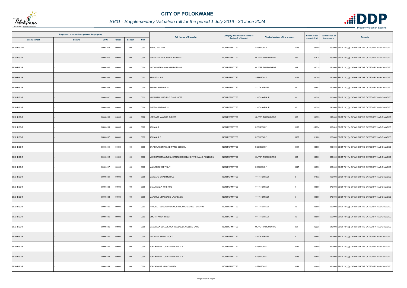

|                       | Registered or other description of the property |          |         |                |      |                                                      | <b>Category determined in terms of</b><br>Physical address of the property | <b>Extent of the</b>           | Market value of | <b>Remarks</b> |                                                         |
|-----------------------|-------------------------------------------------|----------|---------|----------------|------|------------------------------------------------------|----------------------------------------------------------------------------|--------------------------------|-----------------|----------------|---------------------------------------------------------|
| <b>Town Allotment</b> | <b>Suburb</b>                                   | Erf Nr   | Portion | <b>Section</b> | Unit | <b>Full Names of Owner(s)</b>                        | Section 8 of the Act                                                       |                                | property (HA)   | the property   |                                                         |
| SESHEGO-D             |                                                 | 00001073 | 00000   | $00\,$         | 0000 | APRAC PTY LTD                                        | <b>NON PERMITTED</b>                                                       | SESHEGO-D<br>1073              | 0.0450          |                | 650 000 SECT 78(1)(g) OF WHICH THE CATEGORY HAS CHANGED |
| SESHEGO-F             |                                                 | 00008060 | 00000   | $00\,$         | 0000 | SEKGATSA MARUPUTLA TIMOTHY                           | <b>NON PERMITTED</b>                                                       | 330<br>OLIVER TAMBO DRIVE      | 0.2878          |                | 430 000 SECT 78(1)(g) OF WHICH THE CATEGORY HAS CHANGED |
| SESHEGO-F             |                                                 | 00008061 | 00000   | $00\,$         | 0000 | MATHABATHA JONAS MABOTSANA                           | <b>NON PERMITTED</b>                                                       | 334<br>OLIVER TAMBO DRIVE      | 0.0735          |                | 110 000 SECT 78(1)(g) OF WHICH THE CATEGORY HAS CHANGED |
| SESHEGO-F             |                                                 | 00008062 | 00000   | $00\,$         | 0000 | SENYATSI P E                                         | <b>NON PERMITTED</b>                                                       | SESHEGO-F<br>8062              | 0.0750          |                | 110 000 SECT 78(1)(g) OF WHICH THE CATEGORY HAS CHANGED |
| SESHEGO-F             |                                                 | 00008063 | 00000   | $00\,$         | 0000 | PHEEHA MATOME N                                      | <b>NON PERMITTED</b>                                                       | 111TH STREET<br>39             | 0.0952          |                | 140 000 SECT 78(1)(g) OF WHICH THE CATEGORY HAS CHANGED |
| SESHEGO-F             |                                                 | 00008097 | 00000   | $00\,$         | 0000 | MUDAU FHULUFHELO CHARLOTTE                           | <b>NON PERMITTED</b>                                                       | 110TH AVENUE<br>30             | 0.0750          |                | 130 000 SECT 78(1)(g) OF WHICH THE CATEGORY HAS CHANGED |
| SESHEGO-F             |                                                 | 00008098 | 00000   | 00             | 0000 | PHEEHA MATOME N                                      | <b>NON PERMITTED</b>                                                       | 32<br>110TH AVENUE             | 0.0750          |                | 240 000 SECT 78(1)(g) OF WHICH THE CATEGORY HAS CHANGED |
| SESHEGO-F             |                                                 | 00008105 | 00000   | $00\,$         | 0000 | LEDWABA MANOKO ALBERT                                | <b>NON PERMITTED</b>                                                       | 332<br>OLIVER TAMBO DRIVE      | 0.0735          |                | 110 000 SECT 78(1)(g) OF WHICH THE CATEGORY HAS CHANGED |
| SESHEGO-F             |                                                 | 00008106 | 00000   | $00\,$         | 0000 | <b>KEKANA A</b>                                      | <b>NON PERMITTED</b>                                                       | SESHEGO-F<br>8106              | 0.2594          |                | 390 000 SECT 78(1)(g) OF WHICH THE CATEGORY HAS CHANGED |
| SESHEGO-F             |                                                 | 00008107 | 00000   | $00\,$         | 0000 | <b>KEKANA A B</b>                                    | <b>NON PERMITTED</b>                                                       | SESHEGO-F<br>8107              | 0.1080          |                | 160 000 SECT 78(1)(g) OF WHICH THE CATEGORY HAS CHANGED |
| SESHEGO-F             |                                                 | 00008111 | 00000   | $00\,$         | 0000 | DR PHALABORWENI DRIVING SCHOOL                       | <b>NON PERMITTED</b>                                                       | SESHEGO-F<br>8111              | 0.0900          |                | 410 000 SECT 78(1)(g) OF WHICH THE CATEGORY HAS CHANGED |
| SESHEGO-F             |                                                 | 00008112 | 00000   | $00\,$         | 0000 | MOKOBANE MMATLOU JERMINA MOKOBANE NTSHIMANE PHILEMON | <b>NON PERMITTED</b>                                                       | 352<br>OLIVER TAMBO DRIVE      | 0.0900          |                | 240 000 SECT 78(1)(g) OF WHICH THE CATEGORY HAS CHANGED |
| SESHEGO-F             |                                                 | 00008117 | 00000   | $00\,$         | 0000 | MAHLANGU M P ** BL**                                 | <b>NON PERMITTED</b>                                                       | SESHEGO-F<br>8117              | 0.0990          |                | 350 000 SECT 78(1)(g) OF WHICH THE CATEGORY HAS CHANGED |
| SESHEGO-F             |                                                 | 00008121 | 00000   | $00\,$         | 0000 | MAKGATO DAVID MOHALE                                 | <b>NON PERMITTED</b>                                                       | 111TH STREET<br>$\overline{2}$ | 0.1032          |                | 100 000 SECT 78(1)(g) OF WHICH THE CATEGORY HAS CHANGED |
| SESHEGO-F             |                                                 | 00008122 | 00000   | $00\,$         | 0000 | CHAUKE ALPHONS FOS                                   | NON PERMITTED                                                              | 111TH STREET<br>$\overline{4}$ | 0.0990          |                | 370 000 SECT 78(1)(g) OF WHICH THE CATEGORY HAS CHANGED |
| SESHEGO-F             |                                                 | 00008123 | 00000   | $00\,$         | 0000 | MAPOULO MMAKGABO LAWRENCE                            | <b>NON PERMITTED</b>                                                       | 111TH STREET<br>6              | 0.0990          |                | 370 000 SECT 78(1)(g) OF WHICH THE CATEGORY HAS CHANGED |
| SESHEGO-F             |                                                 | 00008125 | 00000   | 00             | 0000 | PHOOKO TEBOGO PRECIOUS PHOOKO DANIEL TSHEPHO         | <b>NON PERMITTED</b>                                                       | 111TH STREET<br>12             | 0.0900          |                | 550 000 SECT 78(1)(g) OF WHICH THE CATEGORY HAS CHANGED |
| SESHEGO-F             |                                                 | 00008126 | 00000   | $00\,$         | 0000 | MMOTI FAMILY TRUST                                   | <b>NON PERMITTED</b>                                                       | 111TH STREET<br>16             | 0.0900          |                | 500 000 SECT 78(1)(g) OF WHICH THE CATEGORY HAS CHANGED |
| SESHEGO-F             |                                                 | 00008136 | 00000   | $00\,$         | 0000 | MASEGELA BOLEDI JUDY MASEGELA MOLELO ENOS            | <b>NON PERMITTED</b>                                                       | OLIVER TAMBO DRIVE<br>361      | 0.2228          |                | 640 000 SECT 78(1)(g) OF WHICH THE CATEGORY HAS CHANGED |
| SESHEGO-F             |                                                 | 00008140 | 00000   | $00\,$         | 0000 | MACHAKA SELLO JACKY                                  | <b>NON PERMITTED</b>                                                       | 120TH STREET<br>5              | 0.0868          |                | 390 000 SECT 78(1)(g) OF WHICH THE CATEGORY HAS CHANGED |
| SESHEGO-F             |                                                 | 00008141 | 00000   | $00\,$         | 0000 | POLOKWANE LOCAL MUNICIPALITY                         | <b>NON PERMITTED</b>                                                       | SESHEGO-F<br>8141              | 0.0900          |                | 360 000 SECT 78(1)(g) OF WHICH THE CATEGORY HAS CHANGED |
| SESHEGO-F             |                                                 | 00008143 | 00000   | $00\,$         | 0000 | POLOKWANE LOCAL MUNICIPALITY                         | <b>NON PERMITTED</b>                                                       | SESHEGO-F<br>8143              | 0.0855          |                | 130 000 SECT 78(1)(g) OF WHICH THE CATEGORY HAS CHANGED |
| SESHEGO-F             |                                                 | 00008144 | 00000   | $00\,$         | 0000 | POLOKWANE MUNICIPALITY                               | <b>NON PERMITTED</b>                                                       | SESHEGO-F<br>8144              | 0.0900          |                | 360 000 SECT 78(1)(g) OF WHICH THE CATEGORY HAS CHANGED |